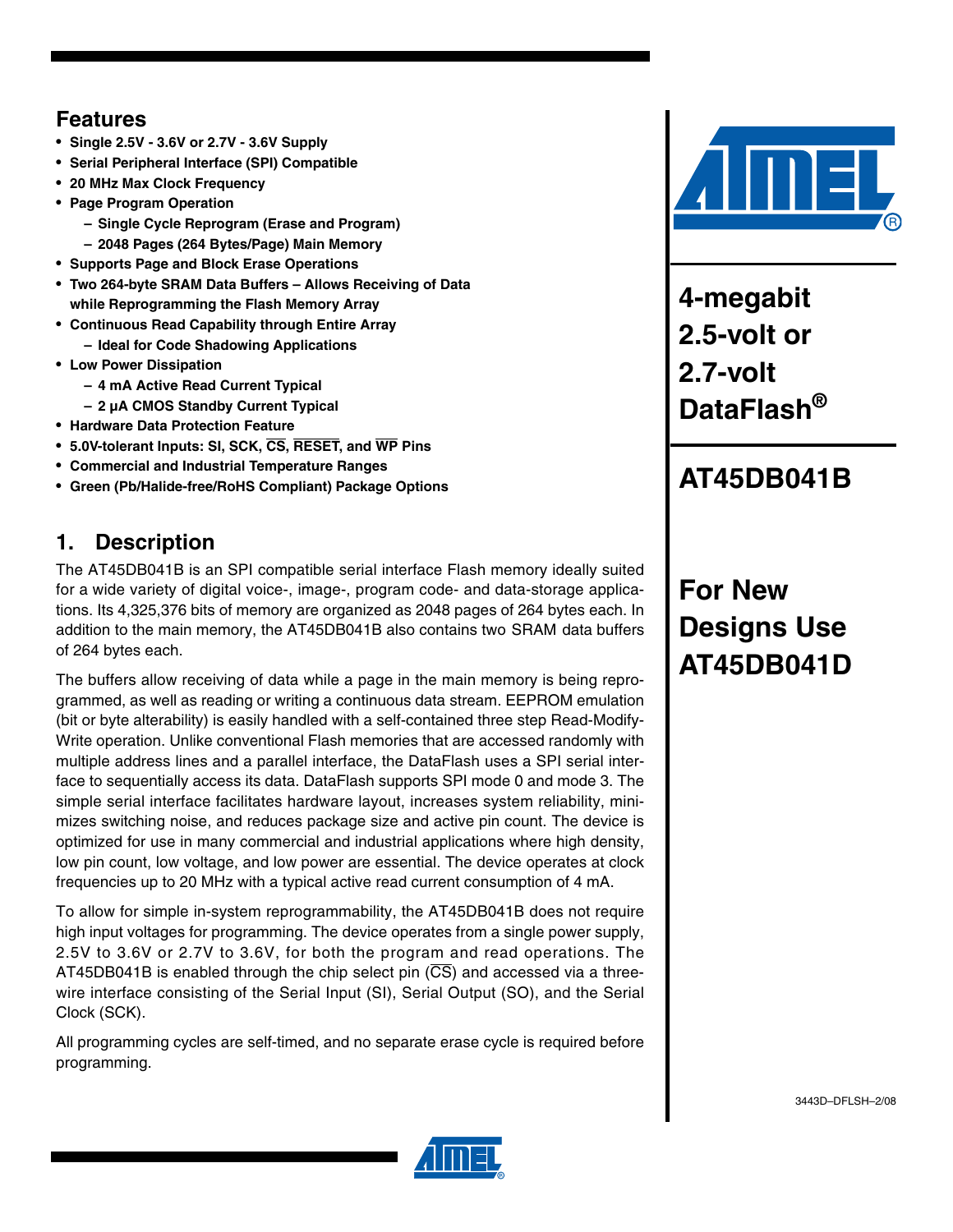## **Features**

- **Single 2.5V 3.6V or 2.7V 3.6V Supply**
- **Serial Peripheral Interface (SPI) Compatible**
- **20 MHz Max Clock Frequency**
- **Page Program Operation**
	- **Single Cycle Reprogram (Erase and Program)**
	- **2048 Pages (264 Bytes/Page) Main Memory**
- **Supports Page and Block Erase Operations**
- **Two 264-byte SRAM Data Buffers Allows Receiving of Data while Reprogramming the Flash Memory Array**
- **Continuous Read Capability through Entire Array**
	- **Ideal for Code Shadowing Applications**
- **Low Power Dissipation**
	- **4 mA Active Read Current Typical**
	- **2 µA CMOS Standby Current Typical**
- **Hardware Data Protection Feature**
- **5.0V-tolerant Inputs: SI, SCK, CS, RESET, and WP Pins**
- **Commercial and Industrial Temperature Ranges**
- **Green (Pb/Halide-free/RoHS Compliant) Package Options**

## **1. Description**

The AT45DB041B is an SPI compatible serial interface Flash memory ideally suited for a wide variety of digital voice-, image-, program code- and data-storage applications. Its 4,325,376 bits of memory are organized as 2048 pages of 264 bytes each. In addition to the main memory, the AT45DB041B also contains two SRAM data buffers of 264 bytes each.

The buffers allow receiving of data while a page in the main memory is being reprogrammed, as well as reading or writing a continuous data stream. EEPROM emulation (bit or byte alterability) is easily handled with a self-contained three step Read-Modify-Write operation. Unlike conventional Flash memories that are accessed randomly with multiple address lines and a parallel interface, the DataFlash uses a SPI serial interface to sequentially access its data. DataFlash supports SPI mode 0 and mode 3. The simple serial interface facilitates hardware layout, increases system reliability, minimizes switching noise, and reduces package size and active pin count. The device is optimized for use in many commercial and industrial applications where high density, low pin count, low voltage, and low power are essential. The device operates at clock frequencies up to 20 MHz with a typical active read current consumption of 4 mA.

To allow for simple in-system reprogrammability, the AT45DB041B does not require high input voltages for programming. The device operates from a single power supply, 2.5V to 3.6V or 2.7V to 3.6V, for both the program and read operations. The AT45DB041B is enabled through the chip select pin (CS) and accessed via a threewire interface consisting of the Serial Input (SI), Serial Output (SO), and the Serial Clock (SCK).

All programming cycles are self-timed, and no separate erase cycle is required before programming.



**4-megabit 2.5-volt or 2.7-volt DataFlash®**

## **AT45DB041B**

# **For New Designs Use AT45DB041D**

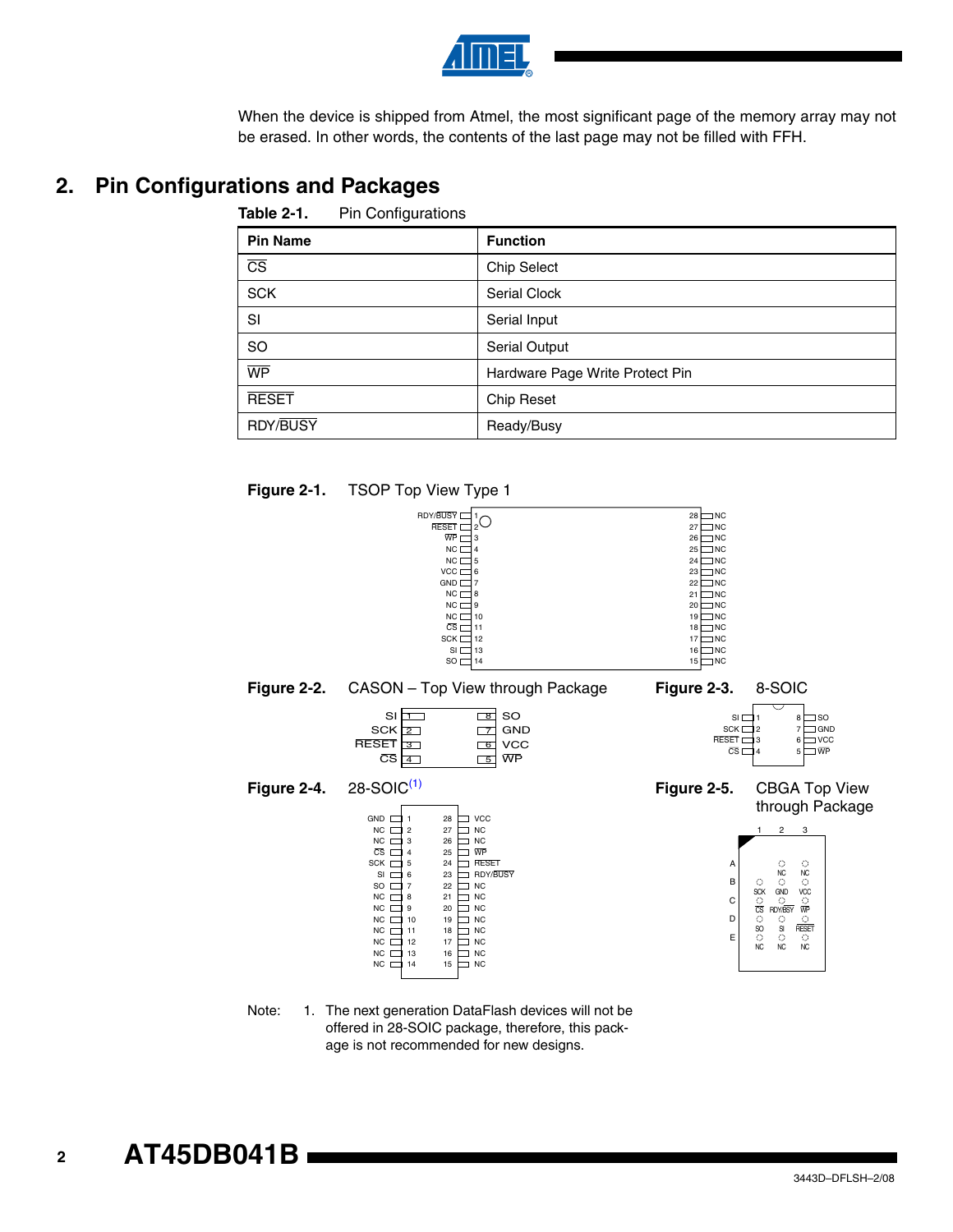

When the device is shipped from Atmel, the most significant page of the memory array may not be erased. In other words, the contents of the last page may not be filled with FFH.

## **2. Pin Configurations and Packages**

| Table 2-1.             | <b>Pin Configurations</b> |                                 |
|------------------------|---------------------------|---------------------------------|
| <b>Pin Name</b>        |                           | <b>Function</b>                 |
| $\overline{\text{CS}}$ |                           | <b>Chip Select</b>              |
| <b>SCK</b>             |                           | Serial Clock                    |
| SI                     |                           | Serial Input                    |
| SO                     |                           | <b>Serial Output</b>            |
| $\overline{\text{WP}}$ |                           | Hardware Page Write Protect Pin |
| <b>RESET</b>           |                           | Chip Reset                      |
| RDY/BUSY               |                           | Ready/Busy                      |



<span id="page-1-0"></span>Note: 1. The next generation DataFlash devices will not be offered in 28-SOIC package, therefore, this package is not recommended for new designs.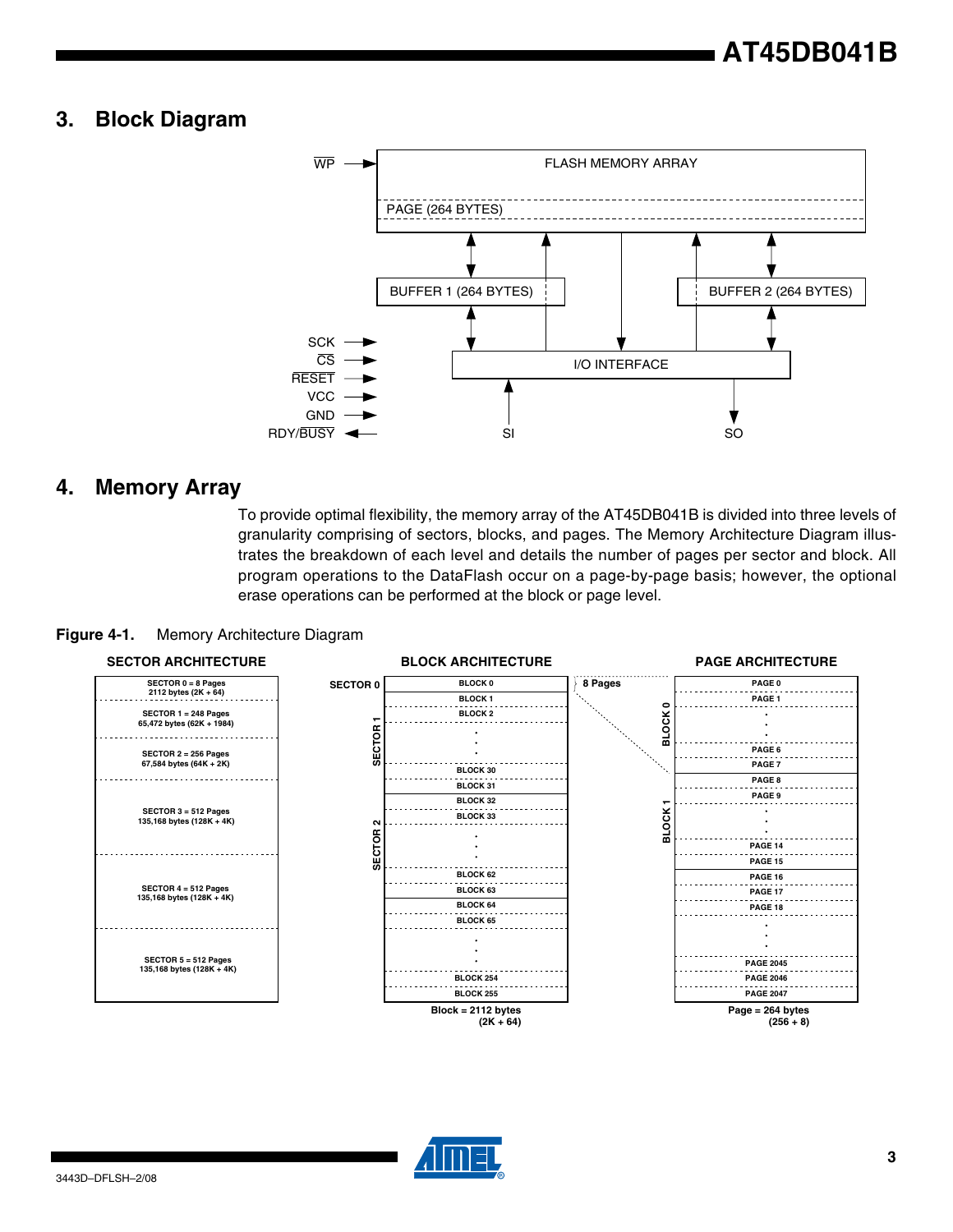## **3. Block Diagram**



## **4. Memory Array**

To provide optimal flexibility, the memory array of the AT45DB041B is divided into three levels of granularity comprising of sectors, blocks, and pages. The Memory Architecture Diagram illustrates the breakdown of each level and details the number of pages per sector and block. All program operations to the DataFlash occur on a page-by-page basis; however, the optional erase operations can be performed at the block or page level.





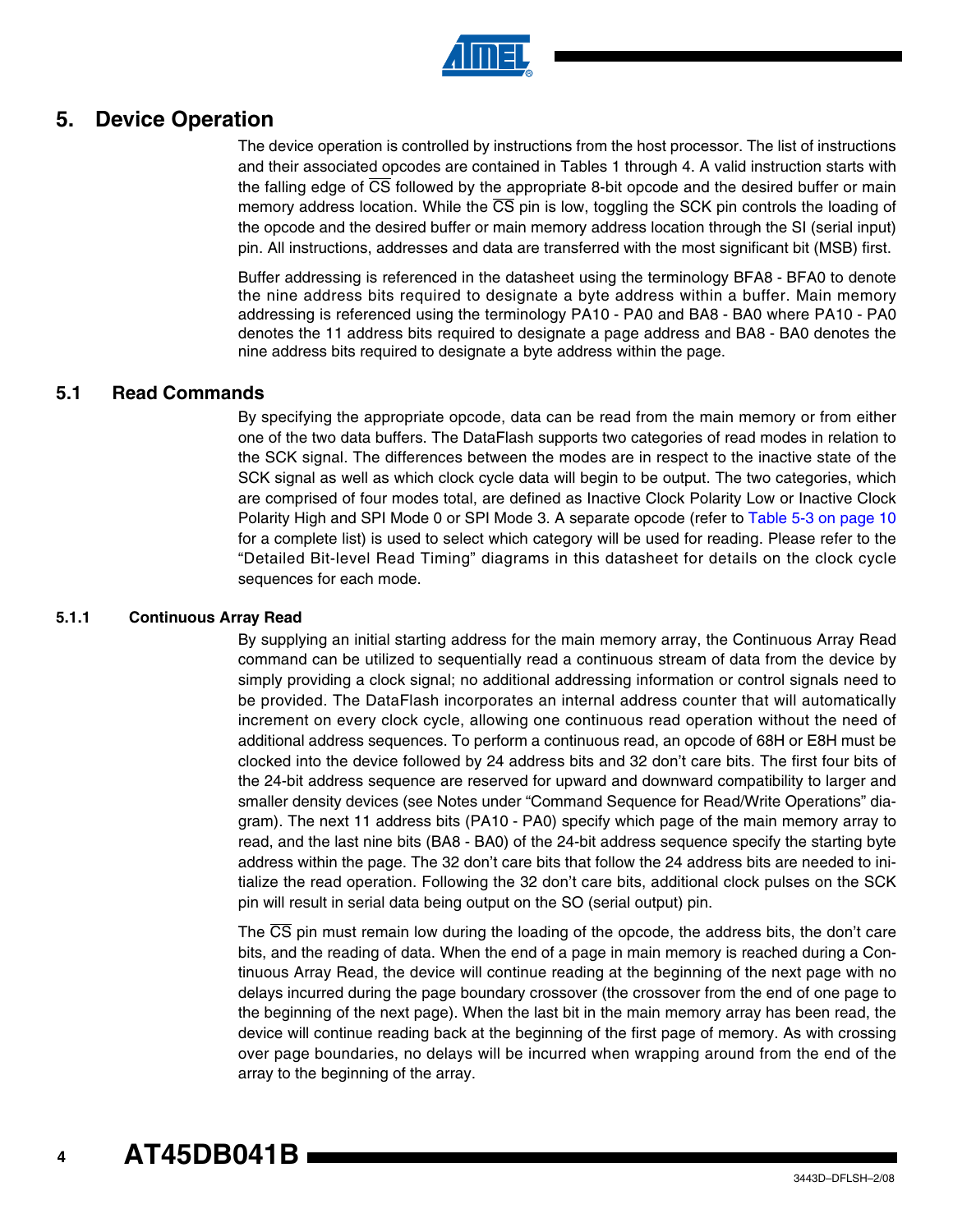

## **5. Device Operation**

The device operation is controlled by instructions from the host processor. The list of instructions and their associated opcodes are contained in Tables 1 through 4. A valid instruction starts with the falling edge of  $\overline{CS}$  followed by the appropriate 8-bit opcode and the desired buffer or main memory address location. While the  $\overline{\text{CS}}$  pin is low, toggling the SCK pin controls the loading of the opcode and the desired buffer or main memory address location through the SI (serial input) pin. All instructions, addresses and data are transferred with the most significant bit (MSB) first.

Buffer addressing is referenced in the datasheet using the terminology BFA8 - BFA0 to denote the nine address bits required to designate a byte address within a buffer. Main memory addressing is referenced using the terminology PA10 - PA0 and BA8 - BA0 where PA10 - PA0 denotes the 11 address bits required to designate a page address and BA8 - BA0 denotes the nine address bits required to designate a byte address within the page.

#### **5.1 Read Commands**

By specifying the appropriate opcode, data can be read from the main memory or from either one of the two data buffers. The DataFlash supports two categories of read modes in relation to the SCK signal. The differences between the modes are in respect to the inactive state of the SCK signal as well as which clock cycle data will begin to be output. The two categories, which are comprised of four modes total, are defined as Inactive Clock Polarity Low or Inactive Clock Polarity High and SPI Mode 0 or SPI Mode 3. A separate opcode (refer to [Table 5-3 on page 10](#page-9-0) for a complete list) is used to select which category will be used for reading. Please refer to the "Detailed Bit-level Read Timing" diagrams in this datasheet for details on the clock cycle sequences for each mode.

#### **5.1.1 Continuous Array Read**

By supplying an initial starting address for the main memory array, the Continuous Array Read command can be utilized to sequentially read a continuous stream of data from the device by simply providing a clock signal; no additional addressing information or control signals need to be provided. The DataFlash incorporates an internal address counter that will automatically increment on every clock cycle, allowing one continuous read operation without the need of additional address sequences. To perform a continuous read, an opcode of 68H or E8H must be clocked into the device followed by 24 address bits and 32 don't care bits. The first four bits of the 24-bit address sequence are reserved for upward and downward compatibility to larger and smaller density devices (see Notes under "Command Sequence for Read/Write Operations" diagram). The next 11 address bits (PA10 - PA0) specify which page of the main memory array to read, and the last nine bits (BA8 - BA0) of the 24-bit address sequence specify the starting byte address within the page. The 32 don't care bits that follow the 24 address bits are needed to initialize the read operation. Following the 32 don't care bits, additional clock pulses on the SCK pin will result in serial data being output on the SO (serial output) pin.

The CS pin must remain low during the loading of the opcode, the address bits, the don't care bits, and the reading of data. When the end of a page in main memory is reached during a Continuous Array Read, the device will continue reading at the beginning of the next page with no delays incurred during the page boundary crossover (the crossover from the end of one page to the beginning of the next page). When the last bit in the main memory array has been read, the device will continue reading back at the beginning of the first page of memory. As with crossing over page boundaries, no delays will be incurred when wrapping around from the end of the array to the beginning of the array.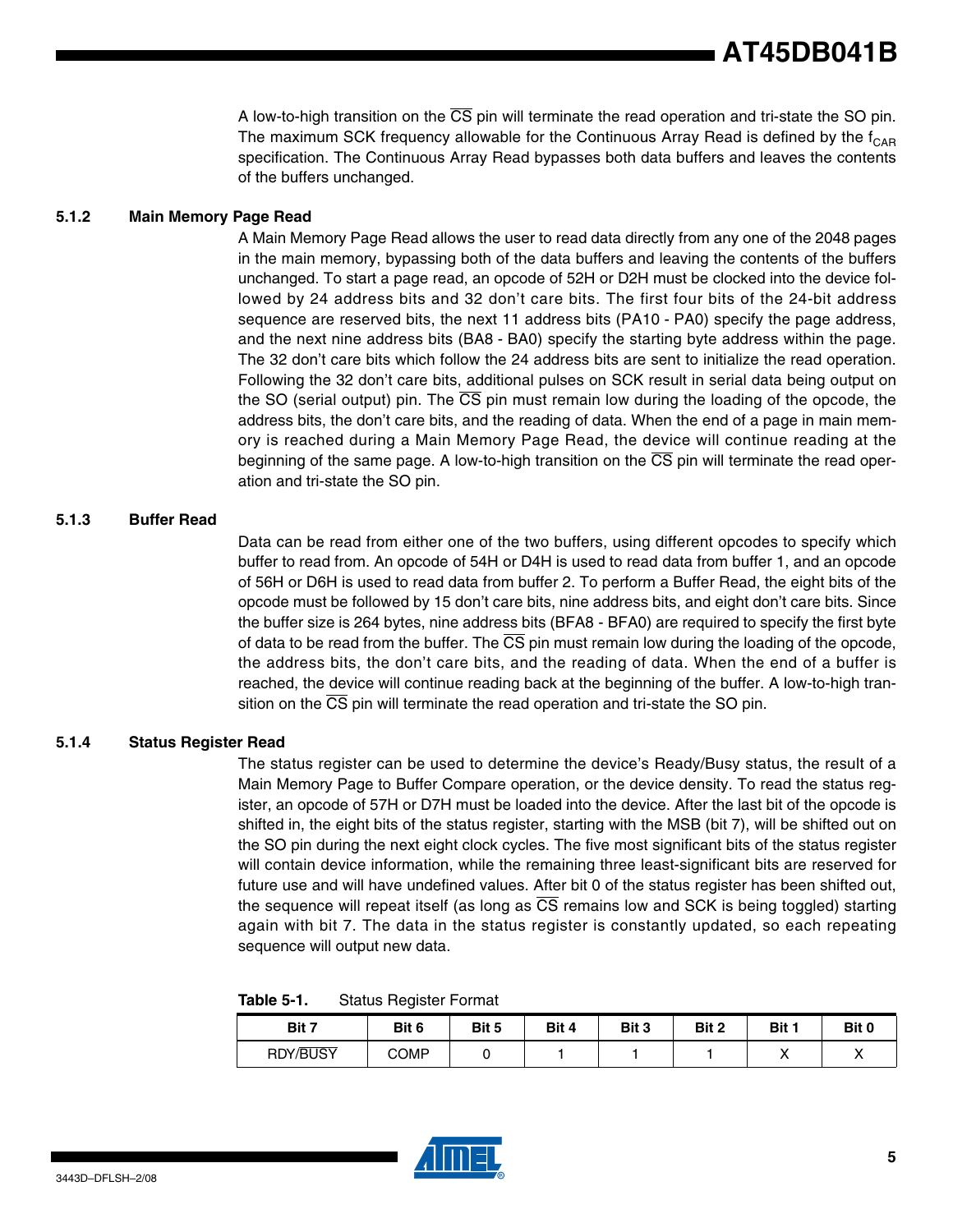A low-to-high transition on the  $\overline{CS}$  pin will terminate the read operation and tri-state the SO pin. The maximum SCK frequency allowable for the Continuous Array Read is defined by the  $f_{CAR}$ specification. The Continuous Array Read bypasses both data buffers and leaves the contents of the buffers unchanged.

#### **5.1.2 Main Memory Page Read**

A Main Memory Page Read allows the user to read data directly from any one of the 2048 pages in the main memory, bypassing both of the data buffers and leaving the contents of the buffers unchanged. To start a page read, an opcode of 52H or D2H must be clocked into the device followed by 24 address bits and 32 don't care bits. The first four bits of the 24-bit address sequence are reserved bits, the next 11 address bits (PA10 - PA0) specify the page address, and the next nine address bits (BA8 - BA0) specify the starting byte address within the page. The 32 don't care bits which follow the 24 address bits are sent to initialize the read operation. Following the 32 don't care bits, additional pulses on SCK result in serial data being output on the SO (serial output) pin. The  $\overline{CS}$  pin must remain low during the loading of the opcode, the address bits, the don't care bits, and the reading of data. When the end of a page in main memory is reached during a Main Memory Page Read, the device will continue reading at the beginning of the same page. A low-to-high transition on the  $\overline{\text{CS}}$  pin will terminate the read operation and tri-state the SO pin.

#### **5.1.3 Buffer Read**

Data can be read from either one of the two buffers, using different opcodes to specify which buffer to read from. An opcode of 54H or D4H is used to read data from buffer 1, and an opcode of 56H or D6H is used to read data from buffer 2. To perform a Buffer Read, the eight bits of the opcode must be followed by 15 don't care bits, nine address bits, and eight don't care bits. Since the buffer size is 264 bytes, nine address bits (BFA8 - BFA0) are required to specify the first byte of data to be read from the buffer. The  $\overline{CS}$  pin must remain low during the loading of the opcode, the address bits, the don't care bits, and the reading of data. When the end of a buffer is reached, the device will continue reading back at the beginning of the buffer. A low-to-high transition on the  $\overline{CS}$  pin will terminate the read operation and tri-state the SO pin.

#### **5.1.4 Status Register Read**

The status register can be used to determine the device's Ready/Busy status, the result of a Main Memory Page to Buffer Compare operation, or the device density. To read the status register, an opcode of 57H or D7H must be loaded into the device. After the last bit of the opcode is shifted in, the eight bits of the status register, starting with the MSB (bit 7), will be shifted out on the SO pin during the next eight clock cycles. The five most significant bits of the status register will contain device information, while the remaining three least-significant bits are reserved for future use and will have undefined values. After bit 0 of the status register has been shifted out, the sequence will repeat itself (as long as  $\overline{CS}$  remains low and SCK is being toggled) starting again with bit 7. The data in the status register is constantly updated, so each repeating sequence will output new data.

| Table 5-1. | <b>Status Register Format</b> |
|------------|-------------------------------|
|------------|-------------------------------|

| Bit 7    | Bit 6       | Bit 5 | Bit 4 | Bit 3 | Bit 2 | Bit 1 | Bit 0     |
|----------|-------------|-------|-------|-------|-------|-------|-----------|
| RDY/BUSY | <b>COMP</b> |       |       |       |       | . .   | $\lambda$ |

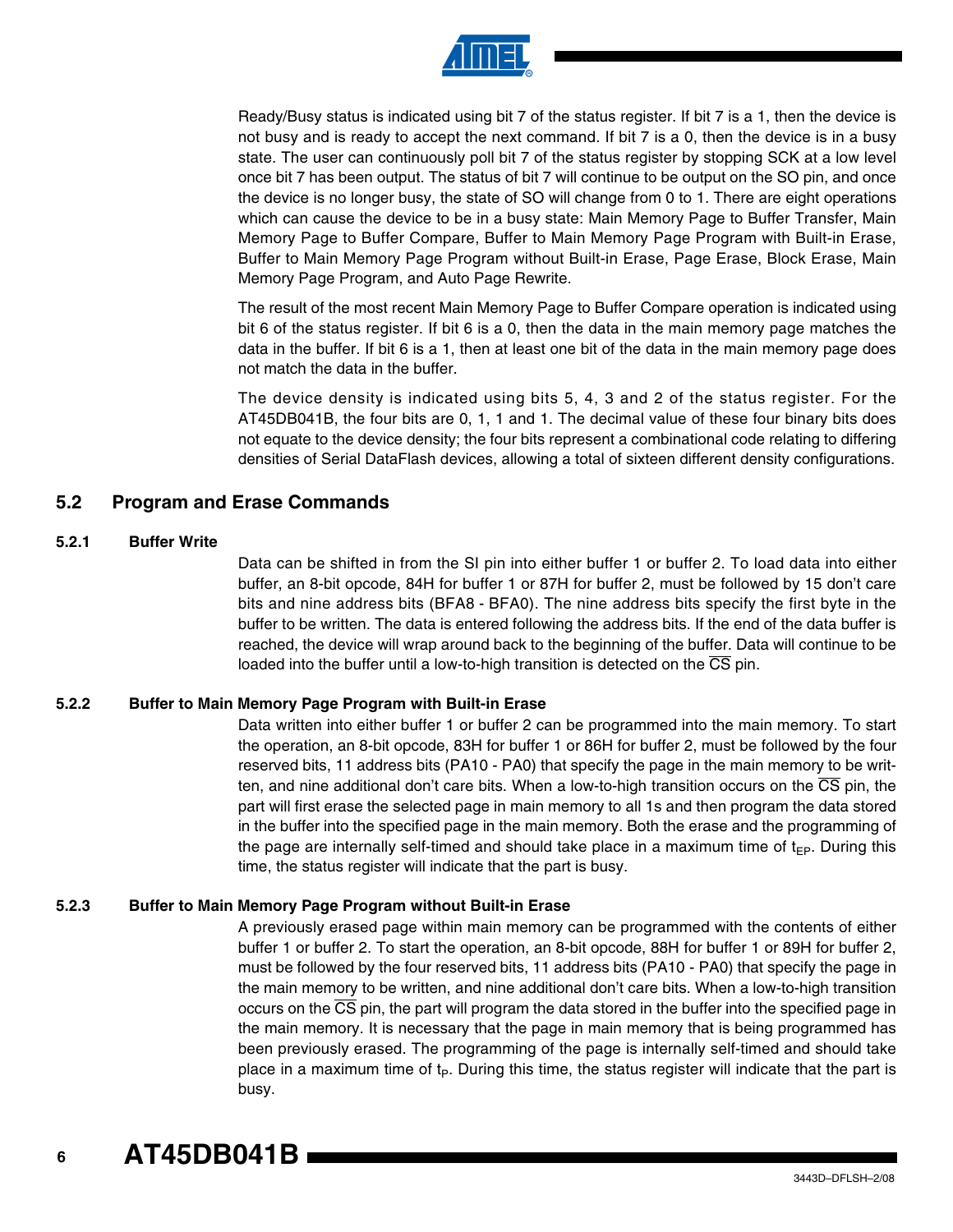

Ready/Busy status is indicated using bit 7 of the status register. If bit 7 is a 1, then the device is not busy and is ready to accept the next command. If bit 7 is a 0, then the device is in a busy state. The user can continuously poll bit 7 of the status register by stopping SCK at a low level once bit 7 has been output. The status of bit 7 will continue to be output on the SO pin, and once the device is no longer busy, the state of SO will change from 0 to 1. There are eight operations which can cause the device to be in a busy state: Main Memory Page to Buffer Transfer, Main Memory Page to Buffer Compare, Buffer to Main Memory Page Program with Built-in Erase, Buffer to Main Memory Page Program without Built-in Erase, Page Erase, Block Erase, Main Memory Page Program, and Auto Page Rewrite.

The result of the most recent Main Memory Page to Buffer Compare operation is indicated using bit 6 of the status register. If bit 6 is a 0, then the data in the main memory page matches the data in the buffer. If bit 6 is a 1, then at least one bit of the data in the main memory page does not match the data in the buffer.

The device density is indicated using bits 5, 4, 3 and 2 of the status register. For the AT45DB041B, the four bits are 0, 1, 1 and 1. The decimal value of these four binary bits does not equate to the device density; the four bits represent a combinational code relating to differing densities of Serial DataFlash devices, allowing a total of sixteen different density configurations.

#### **5.2 Program and Erase Commands**

#### **5.2.1 Buffer Write**

Data can be shifted in from the SI pin into either buffer 1 or buffer 2. To load data into either buffer, an 8-bit opcode, 84H for buffer 1 or 87H for buffer 2, must be followed by 15 don't care bits and nine address bits (BFA8 - BFA0). The nine address bits specify the first byte in the buffer to be written. The data is entered following the address bits. If the end of the data buffer is reached, the device will wrap around back to the beginning of the buffer. Data will continue to be loaded into the buffer until a low-to-high transition is detected on the  $\overline{\text{CS}}$  pin.

#### **5.2.2 Buffer to Main Memory Page Program with Built-in Erase**

Data written into either buffer 1 or buffer 2 can be programmed into the main memory. To start the operation, an 8-bit opcode, 83H for buffer 1 or 86H for buffer 2, must be followed by the four reserved bits, 11 address bits (PA10 - PA0) that specify the page in the main memory to be written, and nine additional don't care bits. When a low-to-high transition occurs on the  $\overline{\text{CS}}$  pin, the part will first erase the selected page in main memory to all 1s and then program the data stored in the buffer into the specified page in the main memory. Both the erase and the programming of the page are internally self-timed and should take place in a maximum time of  $t_{EP}$ . During this time, the status register will indicate that the part is busy.

#### **5.2.3 Buffer to Main Memory Page Program without Built-in Erase**

A previously erased page within main memory can be programmed with the contents of either buffer 1 or buffer 2. To start the operation, an 8-bit opcode, 88H for buffer 1 or 89H for buffer 2, must be followed by the four reserved bits, 11 address bits (PA10 - PA0) that specify the page in the main memory to be written, and nine additional don't care bits. When a low-to-high transition occurs on the  $\overline{CS}$  pin, the part will program the data stored in the buffer into the specified page in the main memory. It is necessary that the page in main memory that is being programmed has been previously erased. The programming of the page is internally self-timed and should take place in a maximum time of  $t<sub>P</sub>$ . During this time, the status register will indicate that the part is busy.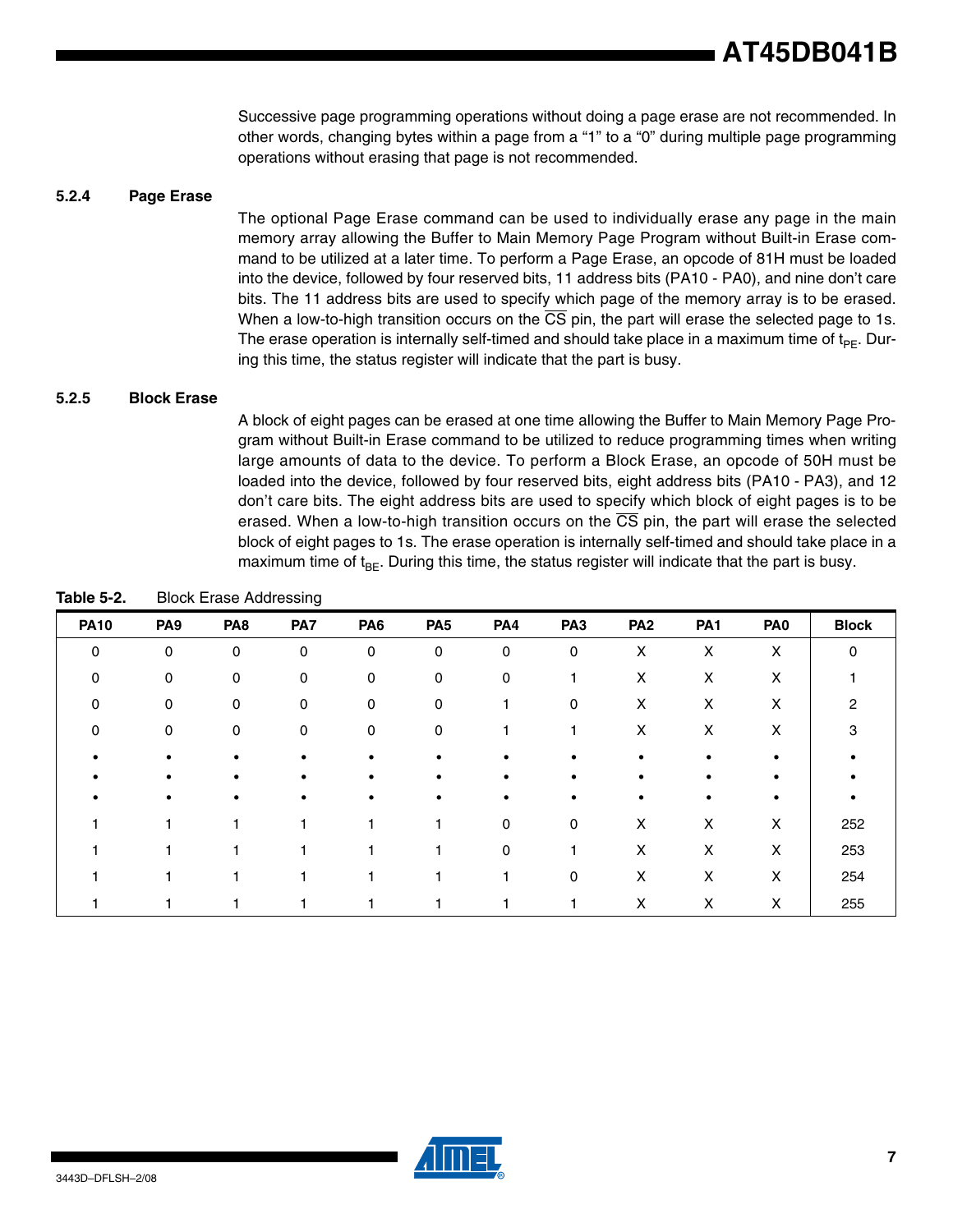Successive page programming operations without doing a page erase are not recommended. In other words, changing bytes within a page from a "1" to a "0" during multiple page programming operations without erasing that page is not recommended.

#### **5.2.4 Page Erase**

The optional Page Erase command can be used to individually erase any page in the main memory array allowing the Buffer to Main Memory Page Program without Built-in Erase command to be utilized at a later time. To perform a Page Erase, an opcode of 81H must be loaded into the device, followed by four reserved bits, 11 address bits (PA10 - PA0), and nine don't care bits. The 11 address bits are used to specify which page of the memory array is to be erased. When a low-to-high transition occurs on the  $\overline{\text{CS}}$  pin, the part will erase the selected page to 1s. The erase operation is internally self-timed and should take place in a maximum time of  $t_{\text{PE}}$ . During this time, the status register will indicate that the part is busy.

#### **5.2.5 Block Erase**

A block of eight pages can be erased at one time allowing the Buffer to Main Memory Page Program without Built-in Erase command to be utilized to reduce programming times when writing large amounts of data to the device. To perform a Block Erase, an opcode of 50H must be loaded into the device, followed by four reserved bits, eight address bits (PA10 - PA3), and 12 don't care bits. The eight address bits are used to specify which block of eight pages is to be erased. When a low-to-high transition occurs on the  $\overline{CS}$  pin, the part will erase the selected block of eight pages to 1s. The erase operation is internally self-timed and should take place in a maximum time of  $t_{BE}$ . During this time, the status register will indicate that the part is busy.

| <b>Table 5-2.</b><br><b>Block Erase Addressing</b> |  |
|----------------------------------------------------|--|
|                                                    |  |

| <b>PA10</b> | PA <sub>9</sub> | PA <sub>8</sub> | PA7 | PA <sub>6</sub> | PA <sub>5</sub> | PA4         | PA <sub>3</sub> | PA <sub>2</sub> | <b>PA1</b> | PA <sub>0</sub> | <b>Block</b> |
|-------------|-----------------|-----------------|-----|-----------------|-----------------|-------------|-----------------|-----------------|------------|-----------------|--------------|
| $\mathbf 0$ | $\mathbf 0$     | 0               | 0   | 0               | $\mathbf 0$     | $\mathbf 0$ | $\mathbf 0$     | $\pmb{\times}$  | X          | X               | $\mathbf 0$  |
| 0           | 0               | 0               | 0   | 0               | 0               | 0           |                 | X               | X          | X               |              |
| $\Omega$    | 0               | 0               | 0   | 0               | 0               |             | 0               | X               | X          | X               | 2            |
| 0           | 0               | 0               | 0   | 0               | 0               |             |                 | х               | X          | X               | 3            |
|             |                 |                 |     |                 |                 |             |                 |                 |            |                 |              |
|             |                 |                 |     |                 |                 |             |                 |                 |            |                 |              |
|             | ٠               |                 |     | ٠               |                 | ٠           |                 |                 |            |                 |              |
|             |                 |                 |     |                 |                 | 0           | 0               | X               | X          | X               | 252          |
|             |                 |                 |     |                 |                 | 0           |                 | X               | X          | X               | 253          |
|             |                 |                 |     |                 |                 |             | 0               | х               | X          | X               | 254          |
|             |                 |                 |     |                 |                 |             |                 | х               | X          | X               | 255          |

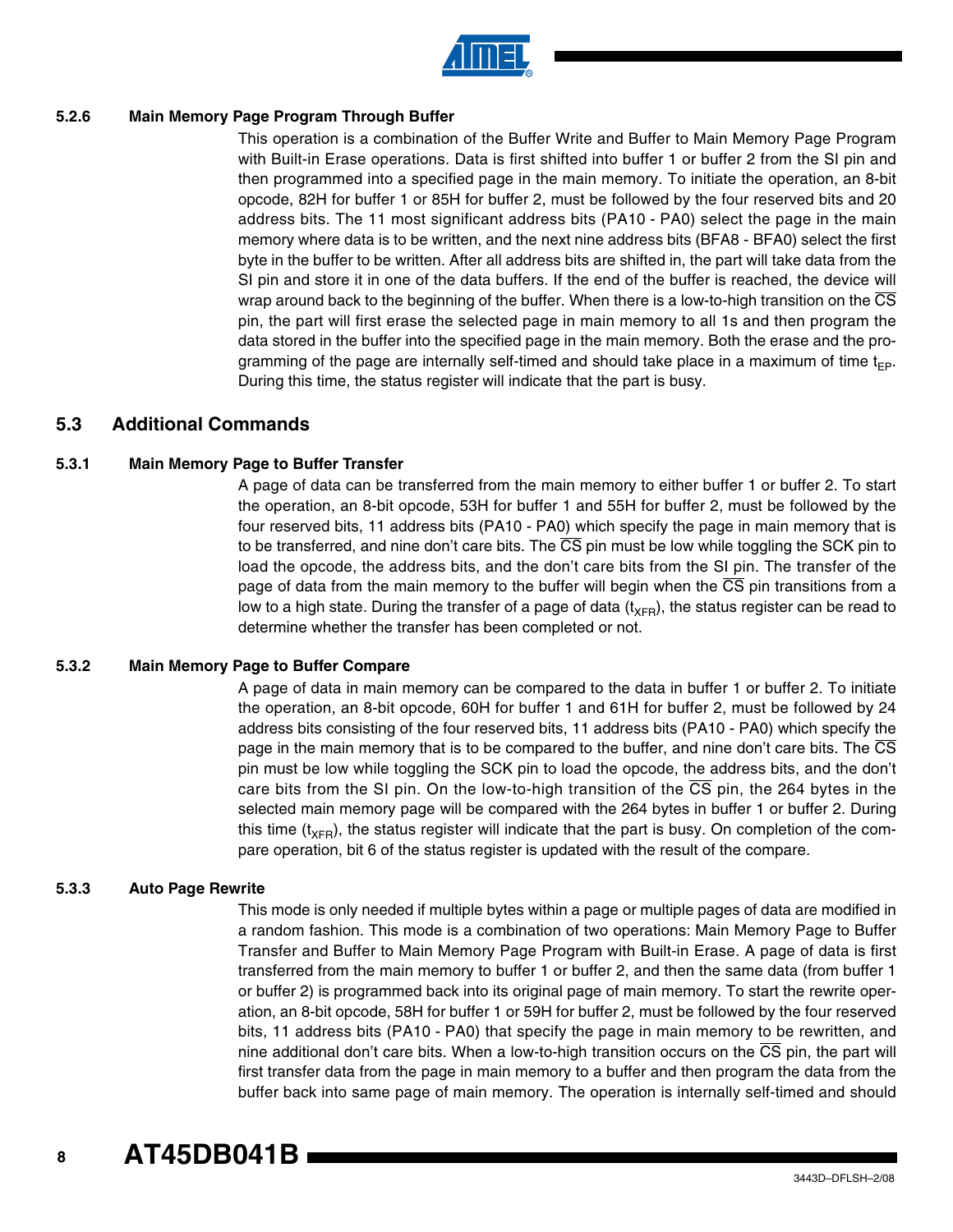

#### **5.2.6 Main Memory Page Program Through Buffer**

This operation is a combination of the Buffer Write and Buffer to Main Memory Page Program with Built-in Erase operations. Data is first shifted into buffer 1 or buffer 2 from the SI pin and then programmed into a specified page in the main memory. To initiate the operation, an 8-bit opcode, 82H for buffer 1 or 85H for buffer 2, must be followed by the four reserved bits and 20 address bits. The 11 most significant address bits (PA10 - PA0) select the page in the main memory where data is to be written, and the next nine address bits (BFA8 - BFA0) select the first byte in the buffer to be written. After all address bits are shifted in, the part will take data from the SI pin and store it in one of the data buffers. If the end of the buffer is reached, the device will wrap around back to the beginning of the buffer. When there is a low-to-high transition on the  $\overline{\text{CS}}$ pin, the part will first erase the selected page in main memory to all 1s and then program the data stored in the buffer into the specified page in the main memory. Both the erase and the programming of the page are internally self-timed and should take place in a maximum of time  $t_{\text{FP}}$ . During this time, the status register will indicate that the part is busy.

#### **5.3 Additional Commands**

#### **5.3.1 Main Memory Page to Buffer Transfer**

A page of data can be transferred from the main memory to either buffer 1 or buffer 2. To start the operation, an 8-bit opcode, 53H for buffer 1 and 55H for buffer 2, must be followed by the four reserved bits, 11 address bits (PA10 - PA0) which specify the page in main memory that is to be transferred, and nine don't care bits. The  $\overline{\text{CS}}$  pin must be low while toggling the SCK pin to load the opcode, the address bits, and the don't care bits from the SI pin. The transfer of the page of data from the main memory to the buffer will begin when the CS pin transitions from a low to a high state. During the transfer of a page of data  $(t_{XFR})$ , the status register can be read to determine whether the transfer has been completed or not.

#### **5.3.2 Main Memory Page to Buffer Compare**

A page of data in main memory can be compared to the data in buffer 1 or buffer 2. To initiate the operation, an 8-bit opcode, 60H for buffer 1 and 61H for buffer 2, must be followed by 24 address bits consisting of the four reserved bits, 11 address bits (PA10 - PA0) which specify the page in the main memory that is to be compared to the buffer, and nine don't care bits. The CS pin must be low while toggling the SCK pin to load the opcode, the address bits, and the don't care bits from the SI pin. On the low-to-high transition of the  $\overline{CS}$  pin, the 264 bytes in the selected main memory page will be compared with the 264 bytes in buffer 1 or buffer 2. During this time  $(t_{XFR})$ , the status register will indicate that the part is busy. On completion of the compare operation, bit 6 of the status register is updated with the result of the compare.

#### **5.3.3 Auto Page Rewrite**

This mode is only needed if multiple bytes within a page or multiple pages of data are modified in a random fashion. This mode is a combination of two operations: Main Memory Page to Buffer Transfer and Buffer to Main Memory Page Program with Built-in Erase. A page of data is first transferred from the main memory to buffer 1 or buffer 2, and then the same data (from buffer 1 or buffer 2) is programmed back into its original page of main memory. To start the rewrite operation, an 8-bit opcode, 58H for buffer 1 or 59H for buffer 2, must be followed by the four reserved bits, 11 address bits (PA10 - PA0) that specify the page in main memory to be rewritten, and nine additional don't care bits. When a low-to-high transition occurs on the  $\overline{\text{CS}}$  pin, the part will first transfer data from the page in main memory to a buffer and then program the data from the buffer back into same page of main memory. The operation is internally self-timed and should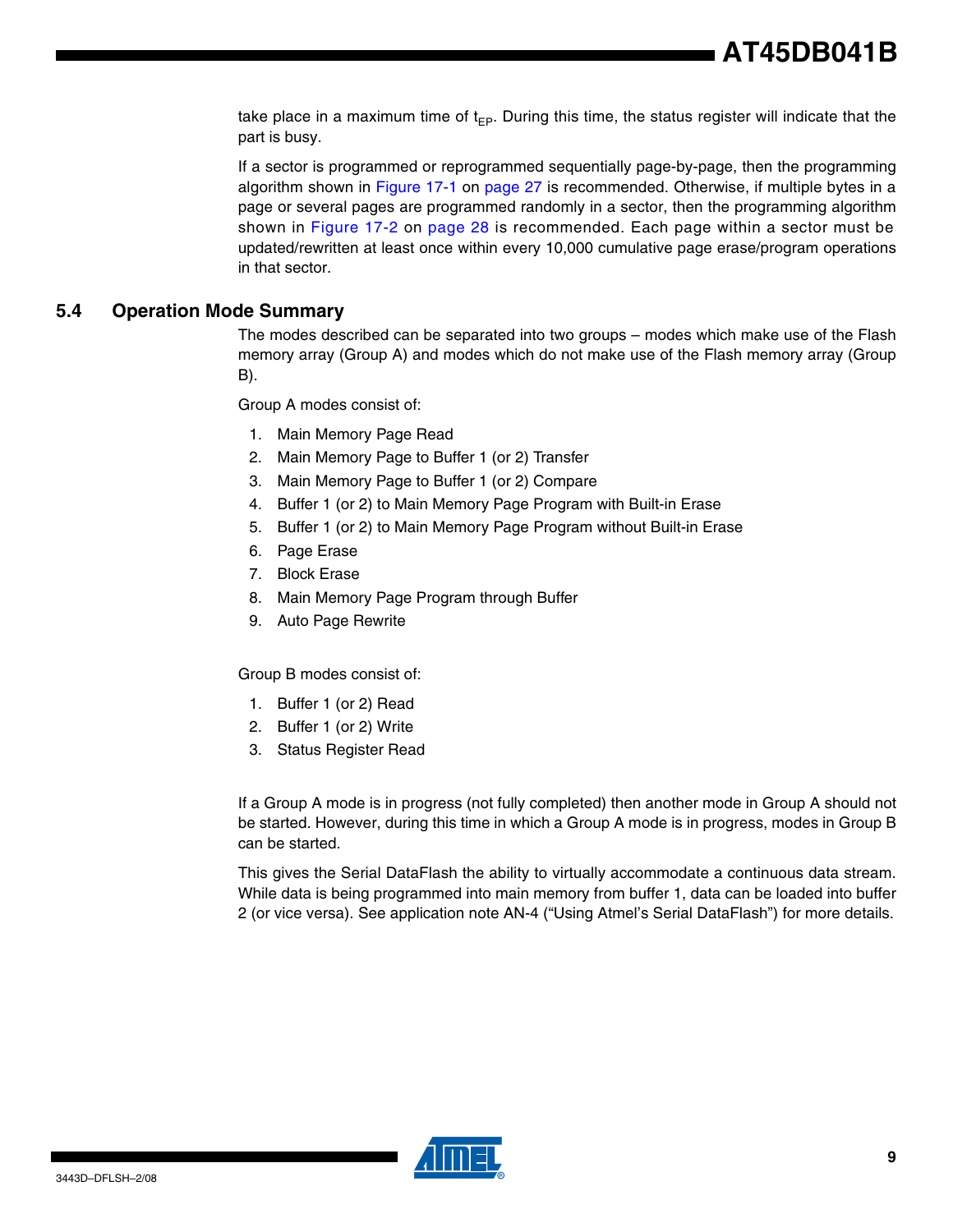take place in a maximum time of  $t_{FP}$ . During this time, the status register will indicate that the part is busy.

If a sector is programmed or reprogrammed sequentially page-by-page, then the programming algorithm shown in [Figure 17-1](#page-26-0) on [page 27](#page-26-0) is recommended. Otherwise, if multiple bytes in a page or several pages are programmed randomly in a sector, then the programming algorithm shown in [Figure 17-2](#page-27-0) on [page 28](#page-27-0) is recommended. Each page within a sector must be updated/rewritten at least once within every 10,000 cumulative page erase/program operations in that sector.

#### **5.4 Operation Mode Summary**

The modes described can be separated into two groups – modes which make use of the Flash memory array (Group A) and modes which do not make use of the Flash memory array (Group B).

Group A modes consist of:

- 1. Main Memory Page Read
- 2. Main Memory Page to Buffer 1 (or 2) Transfer
- 3. Main Memory Page to Buffer 1 (or 2) Compare
- 4. Buffer 1 (or 2) to Main Memory Page Program with Built-in Erase
- 5. Buffer 1 (or 2) to Main Memory Page Program without Built-in Erase
- 6. Page Erase
- 7. Block Erase
- 8. Main Memory Page Program through Buffer
- 9. Auto Page Rewrite

Group B modes consist of:

- 1. Buffer 1 (or 2) Read
- 2. Buffer 1 (or 2) Write
- 3. Status Register Read

If a Group A mode is in progress (not fully completed) then another mode in Group A should not be started. However, during this time in which a Group A mode is in progress, modes in Group B can be started.

This gives the Serial DataFlash the ability to virtually accommodate a continuous data stream. While data is being programmed into main memory from buffer 1, data can be loaded into buffer 2 (or vice versa). See application note AN-4 ("Using Atmel's Serial DataFlash") for more details.

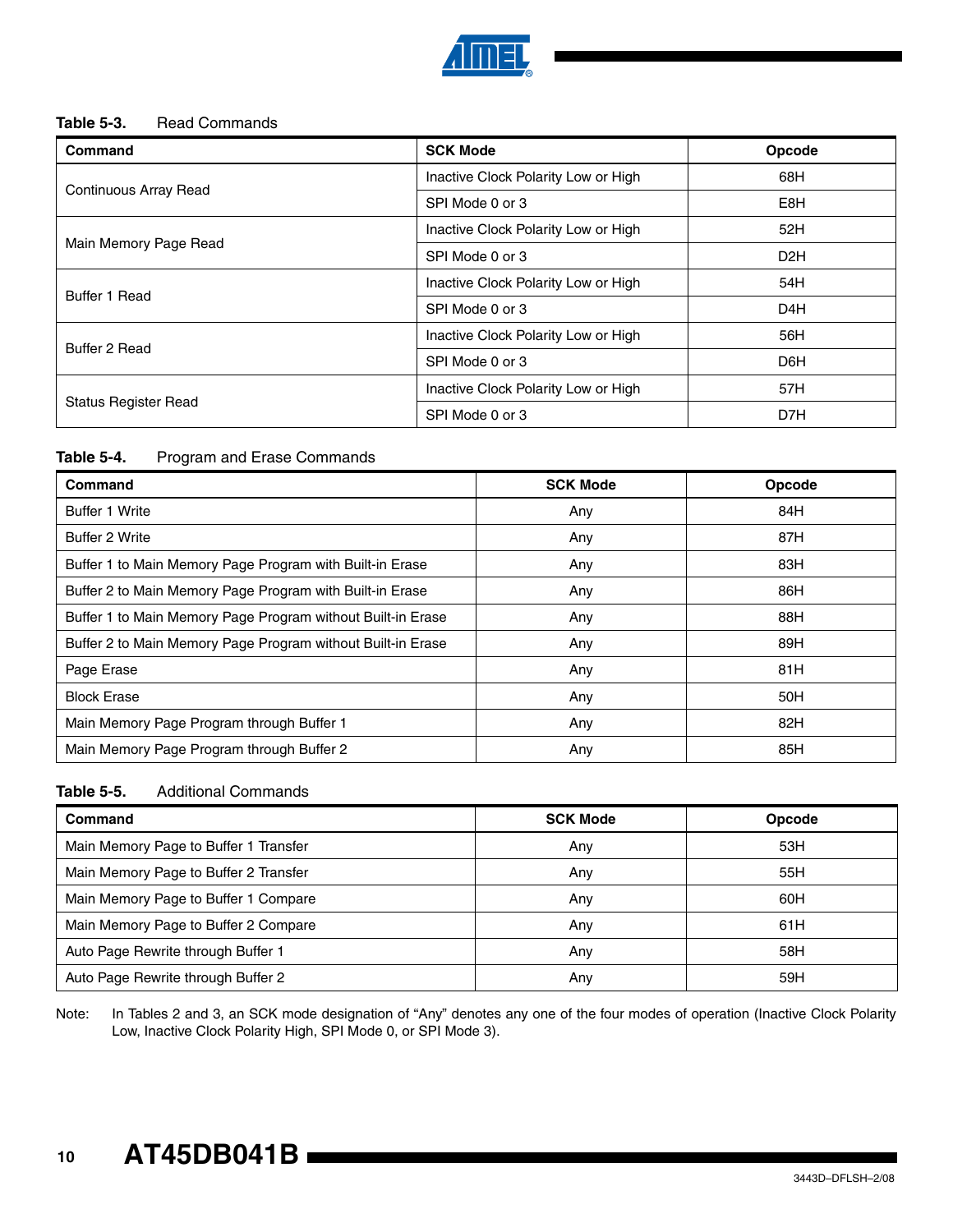

#### <span id="page-9-0"></span>**Table 5-3.** Read Commands

| Command                     | <b>SCK Mode</b>                     | Opcode           |
|-----------------------------|-------------------------------------|------------------|
|                             | Inactive Clock Polarity Low or High | 68H              |
| Continuous Array Read       | SPI Mode 0 or 3                     | E8H              |
|                             | Inactive Clock Polarity Low or High | 52H              |
| Main Memory Page Read       | SPI Mode 0 or 3                     | D <sub>2</sub> H |
|                             | Inactive Clock Polarity Low or High | 54H              |
| Buffer 1 Read               | SPI Mode 0 or 3                     | D <sub>4</sub> H |
|                             | Inactive Clock Polarity Low or High | 56H              |
| Buffer 2 Read               | SPI Mode 0 or 3                     | D <sub>6</sub> H |
|                             | Inactive Clock Polarity Low or High | 57H              |
| <b>Status Register Read</b> | SPI Mode 0 or 3                     | D7H              |

#### **Table 5-4.** Program and Erase Commands

| Command                                                     | <b>SCK Mode</b> | Opcode |
|-------------------------------------------------------------|-----------------|--------|
| <b>Buffer 1 Write</b>                                       | Any             | 84H    |
| <b>Buffer 2 Write</b>                                       | Any             | 87H    |
| Buffer 1 to Main Memory Page Program with Built-in Erase    | Any             | 83H    |
| Buffer 2 to Main Memory Page Program with Built-in Erase    | Any             | 86H    |
| Buffer 1 to Main Memory Page Program without Built-in Erase | Any             | 88H    |
| Buffer 2 to Main Memory Page Program without Built-in Erase | Any             | 89H    |
| Page Erase                                                  | Any             | 81H    |
| <b>Block Erase</b>                                          | Any             | 50H    |
| Main Memory Page Program through Buffer 1                   | Any             | 82H    |
| Main Memory Page Program through Buffer 2                   | Any             | 85H    |

#### **Table 5-5.** Additional Commands

| Command                               | <b>SCK Mode</b> | <b>Opcode</b> |  |  |
|---------------------------------------|-----------------|---------------|--|--|
| Main Memory Page to Buffer 1 Transfer | Any             | 53H           |  |  |
| Main Memory Page to Buffer 2 Transfer | Any             | 55H           |  |  |
| Main Memory Page to Buffer 1 Compare  | Anv             | 60H           |  |  |
| Main Memory Page to Buffer 2 Compare  | Any             | 61H           |  |  |
| Auto Page Rewrite through Buffer 1    | Any             | 58H           |  |  |
| Auto Page Rewrite through Buffer 2    | Anv             | 59H           |  |  |

Note: In Tables 2 and 3, an SCK mode designation of "Any" denotes any one of the four modes of operation (Inactive Clock Polarity Low, Inactive Clock Polarity High, SPI Mode 0, or SPI Mode 3).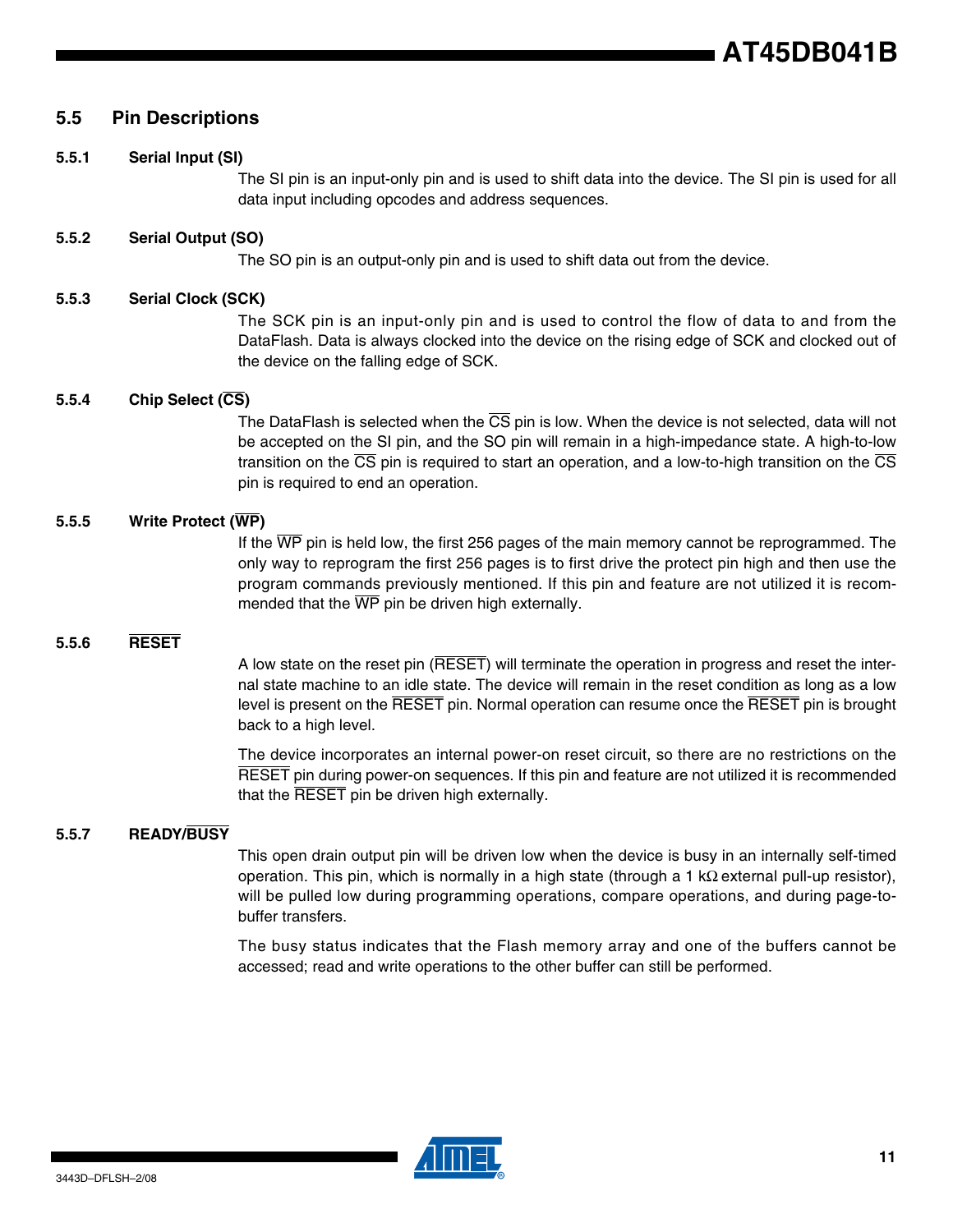#### **5.5 Pin Descriptions**

#### **5.5.1 Serial Input (SI)**

The SI pin is an input-only pin and is used to shift data into the device. The SI pin is used for all data input including opcodes and address sequences.

#### **5.5.2 Serial Output (SO)**

The SO pin is an output-only pin and is used to shift data out from the device.

#### **5.5.3 Serial Clock (SCK)**

The SCK pin is an input-only pin and is used to control the flow of data to and from the DataFlash. Data is always clocked into the device on the rising edge of SCK and clocked out of the device on the falling edge of SCK.

#### **5.5.4 Chip Select (CS)**

The DataFlash is selected when the  $\overline{\text{CS}}$  pin is low. When the device is not selected, data will not be accepted on the SI pin, and the SO pin will remain in a high-impedance state. A high-to-low transition on the  $\overline{\text{CS}}$  pin is required to start an operation, and a low-to-high transition on the  $\overline{\text{CS}}$ pin is required to end an operation.

#### **5.5.5 Write Protect (WP)**

If the  $\overline{WP}$  pin is held low, the first 256 pages of the main memory cannot be reprogrammed. The only way to reprogram the first 256 pages is to first drive the protect pin high and then use the program commands previously mentioned. If this pin and feature are not utilized it is recommended that the WP pin be driven high externally.

#### **5.5.6 RESET**

A low state on the reset pin (RESET) will terminate the operation in progress and reset the internal state machine to an idle state. The device will remain in the reset condition as long as a low level is present on the RESET pin. Normal operation can resume once the RESET pin is brought back to a high level.

The device incorporates an internal power-on reset circuit, so there are no restrictions on the RESET pin during power-on sequences. If this pin and feature are not utilized it is recommended that the RESET pin be driven high externally.

#### **5.5.7 READY/BUSY**

This open drain output pin will be driven low when the device is busy in an internally self-timed operation. This pin, which is normally in a high state (through a 1 kΩ external pull-up resistor), will be pulled low during programming operations, compare operations, and during page-tobuffer transfers.

The busy status indicates that the Flash memory array and one of the buffers cannot be accessed; read and write operations to the other buffer can still be performed.

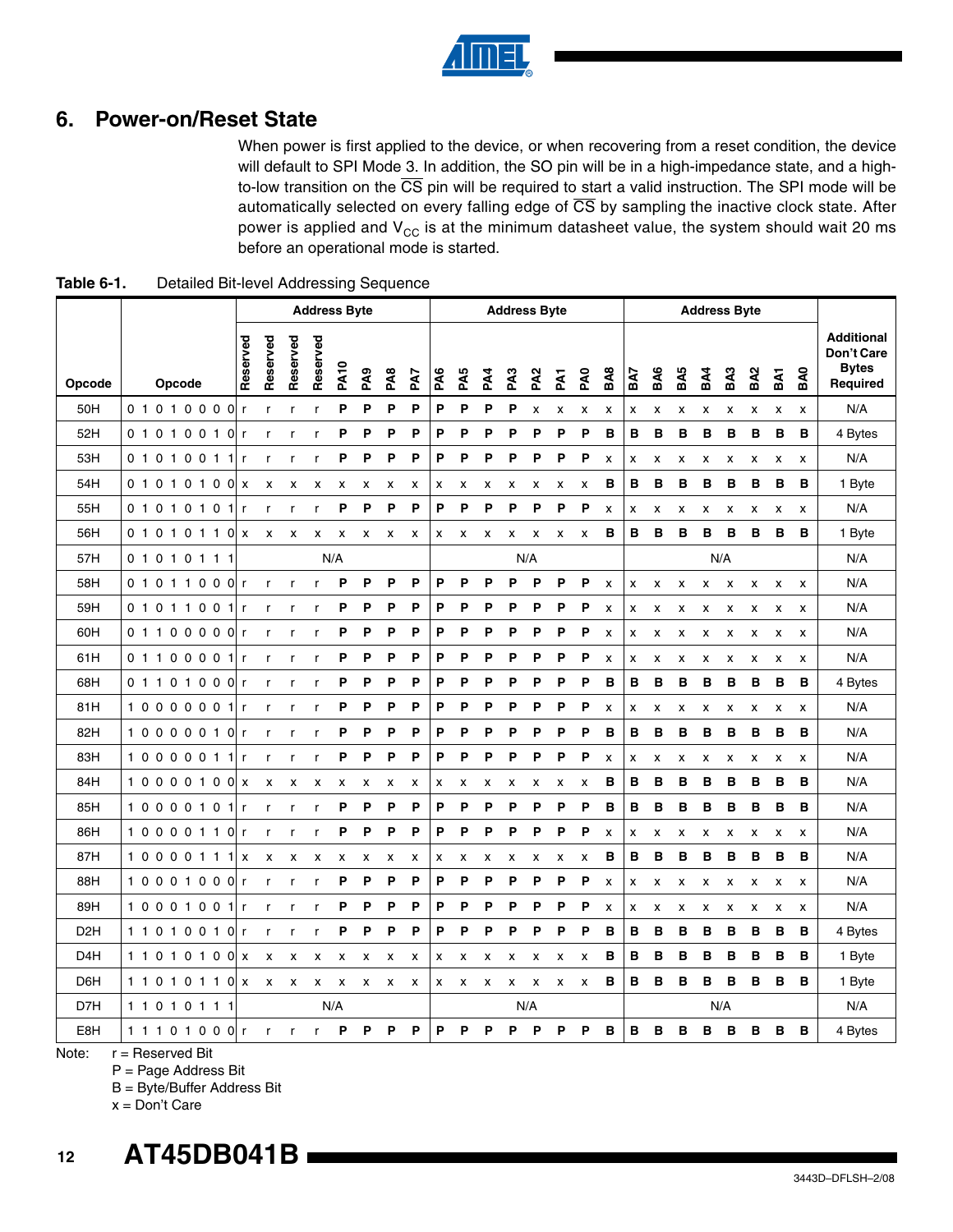

## **6. Power-on/Reset State**

When power is first applied to the device, or when recovering from a reset condition, the device will default to SPI Mode 3. In addition, the SO pin will be in a high-impedance state, and a highto-low transition on the  $\overline{CS}$  pin will be required to start a valid instruction. The SPI mode will be automatically selected on every falling edge of  $\overline{\text{CS}}$  by sampling the inactive clock state. After power is applied and  $V_{CC}$  is at the minimum datasheet value, the system should wait 20 ms before an operational mode is started.

|                  |                   |          |                           |                           | <b>Address Byte</b> |             |                 |                 |     |                 |     |     |                 | <b>Address Byte</b>       |     |     |                           |            |            |     | <b>Address Byte</b> |                           |                 |                           |     |                                                             |
|------------------|-------------------|----------|---------------------------|---------------------------|---------------------|-------------|-----------------|-----------------|-----|-----------------|-----|-----|-----------------|---------------------------|-----|-----|---------------------------|------------|------------|-----|---------------------|---------------------------|-----------------|---------------------------|-----|-------------------------------------------------------------|
| Opcode           | Opcode            | Reserved | Reserved                  | Reserved                  | Reserved            | <b>PA10</b> | PA <sub>9</sub> | PA <sub>8</sub> | PA7 | PA <sub>6</sub> | PA5 | PA4 | PA <sub>3</sub> | PA <sub>2</sub>           | PA1 | PAO | <b>BA8</b>                | <b>BA7</b> | <b>BA6</b> | BA5 | BA4                 | BA <sub>3</sub>           | BA <sub>2</sub> | BA1                       | BA0 | <b>Additional</b><br>Don't Care<br><b>Bytes</b><br>Required |
| 50H              | 01010000 r        |          | r                         | $\mathsf{r}$              | $\mathsf{r}$        | P           | P               | P               | P   | P               | P   | P   | P               | x                         | x   | x   | X                         | x          | x          | X   | x                   | x                         | x               | x                         | X   | N/A                                                         |
| 52H              | 0 1 0 1 0 0 1 0 r |          | r                         | r                         | r                   | P           | Р               | P               | P   | P               | P   | P   | P               | P                         | P   | P   | в                         | в          | в          | в   | в                   | в                         | в               | в                         | в   | 4 Bytes                                                     |
| 53H              | 01010011          |          | r                         | r                         | r                   | P           | P               | P               | P   | P               | P   | P   | P               | P                         | P   | Р   | x                         | x          | x          | х   | x                   | х                         | x               | x                         | x   | N/A                                                         |
| 54H              | 01010100 x        |          | x                         | x                         | x                   | x           | x               | х               | x   | x               | x   | x   | x               | x                         | x   | x   | в                         | в          | в          | в   | в                   | в                         | в               | в                         | в   | 1 Byte                                                      |
| 55H              | 01010101          |          | r                         | r                         | r                   | P           | P               | P               | P   | P               | P   | P   | P               | P                         | P   | P   | x                         | x          | x          | x   | x                   | x                         | x               | x                         | x   | N/A                                                         |
| 56H              | 01010110 x        |          | X                         | $\mathsf{x}$              | X                   | x           | x               | x               | x   | x               | x   | X   | X               | $\boldsymbol{\mathsf{x}}$ | x   | x   | в                         | в          | B          | в   | в                   | в                         | в               | в                         | в   | 1 Byte                                                      |
| 57H              | 01010111          |          |                           |                           |                     | N/A         |                 |                 |     |                 |     |     |                 | N/A                       |     |     |                           |            |            |     |                     | N/A                       |                 |                           |     | N/A                                                         |
| 58H              | 0 1 0 1 1 0 0 0 r |          | r                         | r                         | r                   | P           | P               | P               | Ρ   | P               | P   | P   | P               | P                         | P   | Р   | x                         | x          | x          | x   | x                   | $\boldsymbol{\mathsf{x}}$ | x               | X                         | х   | N/A                                                         |
| 59H              | 01011001          |          | r                         | r                         | r                   | P           | P               | P               | P   | P               | P   | P   | P               | P                         | P   | P   | $\boldsymbol{\mathsf{x}}$ | x          | X          | X   | x                   | x                         | x               | $\boldsymbol{\mathsf{x}}$ | x   | N/A                                                         |
| 60H              | 0 1 1 0 0 0 0 0 r |          | r                         | r                         | r                   | P           | Р               | P               | P   | P               | P   | P   | P               | P                         | P   | P   | x                         | x          | x          | x   | x                   | x                         | х               | X                         | x   | N/A                                                         |
| 61H              | 01100001          |          | r                         | r                         | r                   | P           | P               | P               | P   | P               | P   | P   | P               | P                         | P   | P   | x                         | x          | x          | x   | x                   | х                         | x               | x                         | X   | N/A                                                         |
| 68H              | 0 1 1 0 1 0 0 0 r |          | r                         | r                         | $\mathsf{r}$        | P           | P               | P               | P   | P               | P   | P   | P               | P                         | P   | P   | в                         | в          | B          | в   | в                   | в                         | в               | в                         | в   | 4 Bytes                                                     |
| 81H              | 10000001          |          | r                         | r                         | r                   | P           | P               | P               | P   | P               | P   | P   | P               | P                         | P   | Р   | x                         | x          | x          | х   | x                   | х                         | x               | x                         | x   | N/A                                                         |
| 82H              | 10000010r         |          | r                         | r                         | r                   | P           | P               | P               | P   | P               | P   | P   | P               | P                         | P   | P   | в                         | в          | B          | в   | в                   | в                         | В               | в                         | в   | N/A                                                         |
| 83H              | 10000011          |          | r                         | r                         | r                   | P           | P               | P               | P   | P               | P   | Р   | P               | P                         | P   | P   | X                         | x          | x          | x   | x                   | x                         | x               | x                         | x   | N/A                                                         |
| 84H              | 10000100 x        |          | x                         | $\boldsymbol{\mathsf{x}}$ | x                   | x           | x               | x               | x   | x               | x   | x   | X               | X                         | x   | x   | в                         | B          | B          | B   | в                   | в                         | в               | в                         | B   | N/A                                                         |
| 85H              | 10000101          |          | r                         | r                         | r                   | P           | P               | P               | P   | P               | P   | P   | P               | P                         | P   | P   | в                         | в          | в          | в   | в                   | в                         | в               | в                         | в   | N/A                                                         |
| 86H              | 10000110r         |          | r                         | r                         | r                   | P           | Р               | P               | P   | P               | P   | Р   | P               | P                         | P   | P   | X                         | x          | x          | x   | x                   | X                         | x               | х                         | x   | N/A                                                         |
| 87H              | 10000111x         |          | X                         | $\pmb{\chi}$              | x                   | x           | x               | x               | x   | x               | x   | x   | x               | x                         | x   | X   | в                         | в          | B          | в   | в                   | в                         | в               | B                         | B   | N/A                                                         |
| 88H              | 10001000 r        |          | r                         | r                         | r                   | P           | P               | P               | P   | P               | P   | P   | P               | P                         | P   | P   | X                         | x          | x          | x   | X                   | x                         | x               | X                         | x   | N/A                                                         |
| 89H              | 10001001r         |          | r                         | r                         | r                   | P           | P               | P               | P   | P               | P   | P   | P               | P                         | P   | P   | X                         | x          | x          | X   | x                   | x                         | x               | x                         | x   | N/A                                                         |
| D <sub>2</sub> H | 11010010 r        |          | r                         | r                         | r                   | P           | P               | P               | P   | P               | P   | P   | P               | P                         | P   | P   | в                         | в          | в          | в   | в                   | в                         | в               | в                         | в   | 4 Bytes                                                     |
| D <sub>4</sub> H | 1 1 0 1 0 1 0 0 x |          | X                         | X                         | x                   | x           | x               | x               | x   | x               | x   | x   | x               | x                         | x   | x   | в                         | в          | в          | в   | в                   | в                         | в               | в                         | в   | 1 Byte                                                      |
| D <sub>6</sub> H | 11010110 x        |          | $\boldsymbol{\mathsf{x}}$ | $\boldsymbol{\mathsf{x}}$ | x                   | x           | X               | x               | x   | x               | x   | x   | x               | X                         | x   | X   | в                         | в          | в          | B   | в                   | в                         | в               | в                         | в   | 1 Byte                                                      |
| D7H              | 11010111          |          |                           |                           |                     | N/A         |                 |                 |     |                 |     |     |                 | N/A                       |     |     |                           |            |            |     |                     | N/A                       |                 |                           |     | N/A                                                         |
| E8H              | 11101000r         |          | $\mathsf{r}$              | r                         | r                   | P           | P               | P               | P   | P               | P   | P   | P               | P                         | P   | P   | в                         | в          | в          | в   | в                   | $\overline{B}$            | в               | в                         | в   | 4 Bytes                                                     |

**Table 6-1.** Detailed Bit-level Addressing Sequence

Note:  $r =$  Reserved Bit

P = Page Address Bit

B = Byte/Buffer Address Bit

 $x = Don't Care$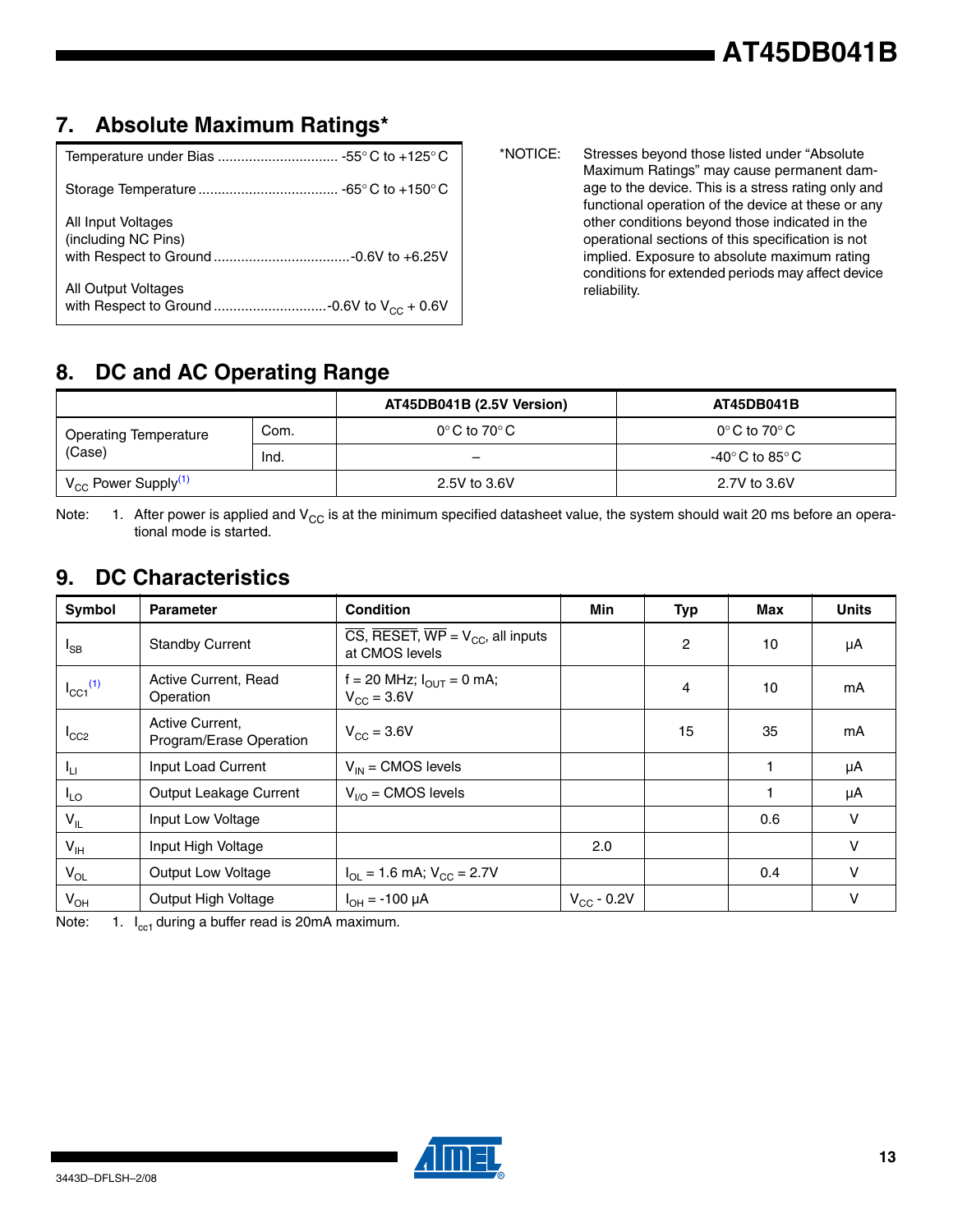## **7. Absolute Maximum Ratings\***

| All Input Voltages<br>(including NC Pins) |
|-------------------------------------------|
| All Output Voltages                       |

\*NOTICE: Stresses beyond those listed under "Absolute Maximum Ratings" may cause permanent damage to the device. This is a stress rating only and functional operation of the device at these or any other conditions beyond those indicated in the operational sections of this specification is not implied. Exposure to absolute maximum rating conditions for extended periods may affect device reliability.

## **8. DC and AC Operating Range**

|                                      |      | AT45DB041B (2.5V Version)        | <b>AT45DB041B</b>                   |
|--------------------------------------|------|----------------------------------|-------------------------------------|
| <b>Operating Temperature</b>         | Com. | $0^{\circ}$ C to 70 $^{\circ}$ C | $0^{\circ}$ C to 70 $^{\circ}$ C    |
| (Case)                               | Ind. | -                                | -40 $^{\circ}$ C to 85 $^{\circ}$ C |
| $V_{CC}$ Power Supply <sup>(1)</sup> |      | 2.5V to 3.6V                     | 2.7V to 3.6V                        |

<span id="page-12-0"></span>Note: 1. After power is applied and V<sub>CC</sub> is at the minimum specified datasheet value, the system should wait 20 ms before an operational mode is started.

## **9. DC Characteristics**

| Symbol                   | <b>Parameter</b>                           | <b>Condition</b>                                                                 | <b>Min</b>      | Typ | Max             | <b>Units</b> |
|--------------------------|--------------------------------------------|----------------------------------------------------------------------------------|-----------------|-----|-----------------|--------------|
| <sup>I</sup> SB          | <b>Standby Current</b>                     | $\overline{CS}$ , RESET, $\overline{WP} = V_{CC}$ , all inputs<br>at CMOS levels |                 | 2   | 10              | μA           |
| $I_{CC1}$ <sup>(1)</sup> | Active Current, Read<br>Operation          | f = 20 MHz; $I_{OUT}$ = 0 mA;<br>$V_{CC}$ = 3.6V                                 |                 | 4   | 10 <sup>°</sup> | mA           |
| $I_{CC2}$                | Active Current,<br>Program/Erase Operation | $V_{\text{CC}} = 3.6V$                                                           |                 | 15  | 35              | mA           |
| Ιu,                      | Input Load Current                         | $V_{IN}$ = CMOS levels                                                           |                 |     | 1               | μA           |
| $I_{LO}$                 | Output Leakage Current                     | $V_{\text{I/O}}$ = CMOS levels                                                   |                 |     | -1              | μA           |
| $V_{IL}$                 | Input Low Voltage                          |                                                                                  |                 |     | 0.6             | v            |
| $V_{\text{IH}}$          | Input High Voltage                         |                                                                                  | 2.0             |     |                 | $\vee$       |
| $V_{OL}$                 | Output Low Voltage                         | $I_{OL}$ = 1.6 mA; $V_{CC}$ = 2.7V                                               |                 |     | 0.4             | v            |
| $V_{OH}$                 | Output High Voltage                        | $I_{OH} = -100 \mu A$                                                            | $V_{CG}$ - 0.2V |     |                 | v            |

<span id="page-12-1"></span>Note: 1.  $I_{cc1}$  during a buffer read is 20mA maximum.

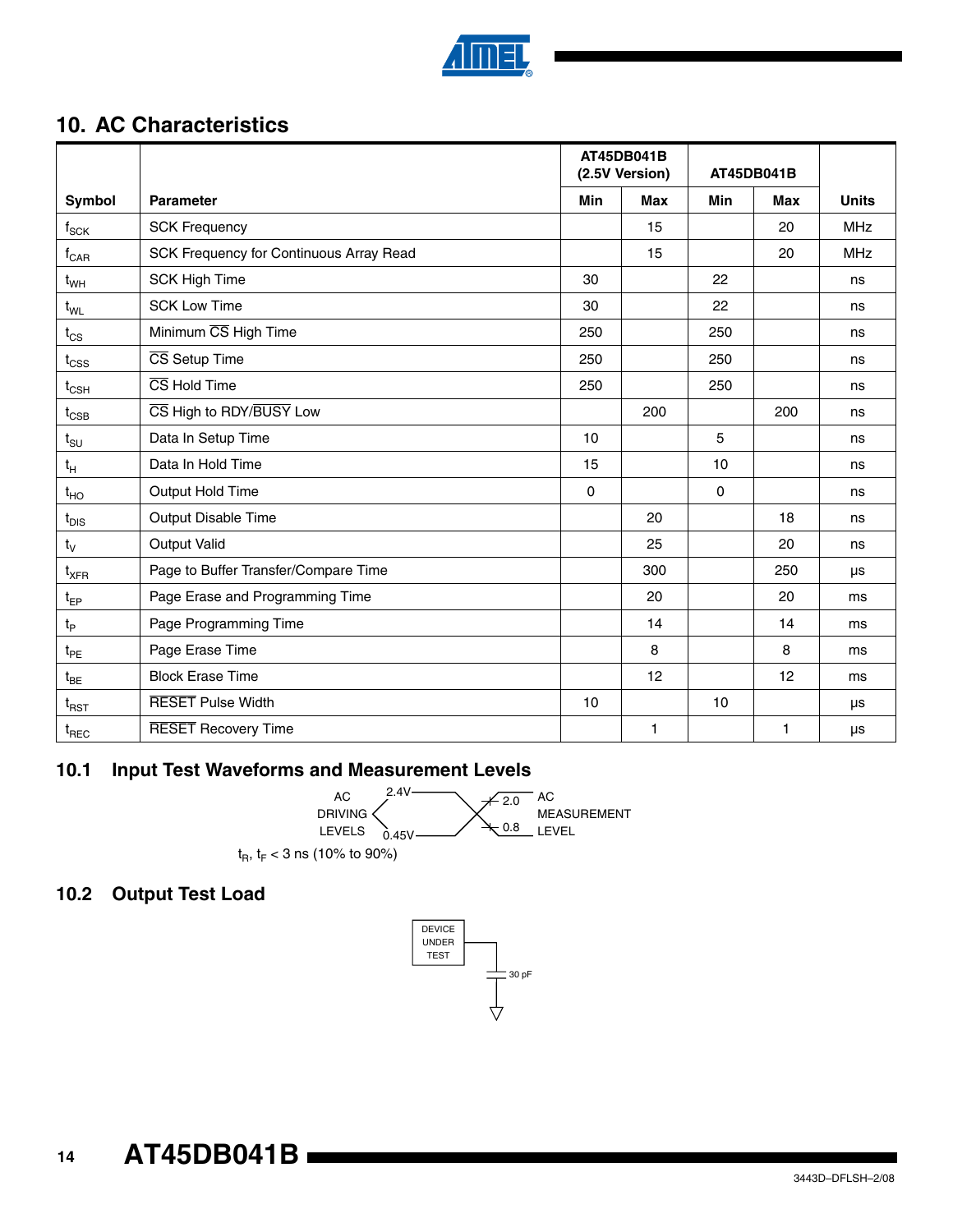

## **10. AC Characteristics**

|                                      |                                         | <b>AT45DB041B</b><br>(2.5V Version) | AT45DB041B |          |            |              |
|--------------------------------------|-----------------------------------------|-------------------------------------|------------|----------|------------|--------------|
| Symbol                               | <b>Parameter</b>                        | Min                                 | <b>Max</b> | Min      | <b>Max</b> | <b>Units</b> |
| $f_{\mathsf{SCK}}$                   | <b>SCK Frequency</b>                    |                                     | 15         |          | 20         | <b>MHz</b>   |
| $f_{\mathsf{CAR}}$                   | SCK Frequency for Continuous Array Read |                                     | 15         |          | 20         | <b>MHz</b>   |
| $t_{WH}$                             | <b>SCK High Time</b>                    | 30                                  |            | 22       |            | ns           |
| $t_{WL}$                             | <b>SCK Low Time</b>                     | 30                                  |            | 22       |            | ns           |
| $t_{CS}$                             | Minimum CS High Time                    | 250                                 |            | 250      |            | ns           |
| $t_{\text{CSS}}$                     | CS Setup Time                           | 250                                 |            | 250      |            | ns           |
| $t_{\scriptscriptstyle{\text{CSH}}}$ | CS Hold Time                            | 250                                 |            | 250      |            | ns           |
| $t_{\text{CSB}}$                     | CS High to RDY/BUSY Low                 |                                     | 200        |          | 200        | ns           |
| $t_{\text{SU}}$                      | Data In Setup Time                      | 10                                  |            | 5        |            | ns           |
| $t_H$                                | Data In Hold Time                       | 15                                  |            | 10       |            | ns           |
| $t_{HO}$                             | Output Hold Time                        | 0                                   |            | $\Omega$ |            | ns           |
| $t_{\text{DIS}}$                     | <b>Output Disable Time</b>              |                                     | 20         |          | 18         | ns           |
| $t_V$                                | <b>Output Valid</b>                     |                                     | 25         |          | 20         | ns           |
| $t_{\sf XFR}$                        | Page to Buffer Transfer/Compare Time    |                                     | 300        |          | 250        | μs           |
| $t_{EP}$                             | Page Erase and Programming Time         |                                     | 20         |          | 20         | ms           |
| t <sub>P</sub>                       | Page Programming Time                   |                                     | 14         |          | 14         | ms           |
| $t_{PE}$                             | Page Erase Time                         |                                     | 8          |          | 8          | ms           |
| $t_{BE}$                             | <b>Block Erase Time</b>                 |                                     | 12         |          | 12         | ms           |
| $t_{\sf RST}$                        | <b>RESET Pulse Width</b>                | 10                                  |            | 10       |            | μs           |
| $t_{\tiny\textsf{REC}}$              | <b>RESET</b> Recovery Time              |                                     | 1          |          | 1          | μs           |

### **10.1 Input Test Waveforms and Measurement Levels**



## **10.2 Output Test Load**

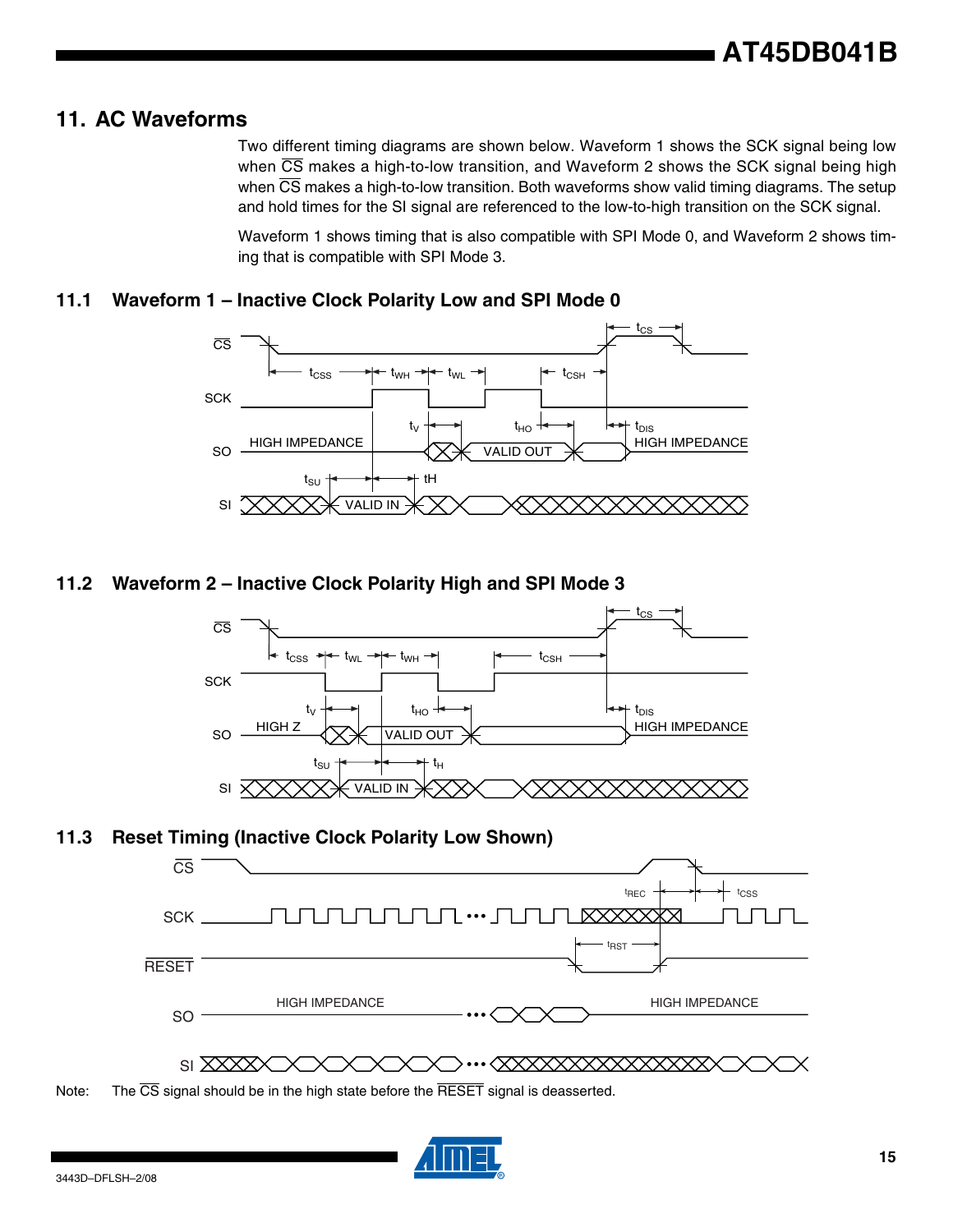## **11. AC Waveforms**

Two different timing diagrams are shown below. Waveform 1 shows the SCK signal being low when  $\overline{\text{CS}}$  makes a high-to-low transition, and Waveform 2 shows the SCK signal being high when  $\overline{\text{CS}}$  makes a high-to-low transition. Both waveforms show valid timing diagrams. The setup and hold times for the SI signal are referenced to the low-to-high transition on the SCK signal.

Waveform 1 shows timing that is also compatible with SPI Mode 0, and Waveform 2 shows timing that is compatible with SPI Mode 3.

**11.1 Waveform 1 – Inactive Clock Polarity Low and SPI Mode 0**



## **11.2 Waveform 2 – Inactive Clock Polarity High and SPI Mode 3**





Note: The  $\overline{\text{CS}}$  signal should be in the high state before the  $\overline{\text{RESET}}$  signal is deasserted.

SO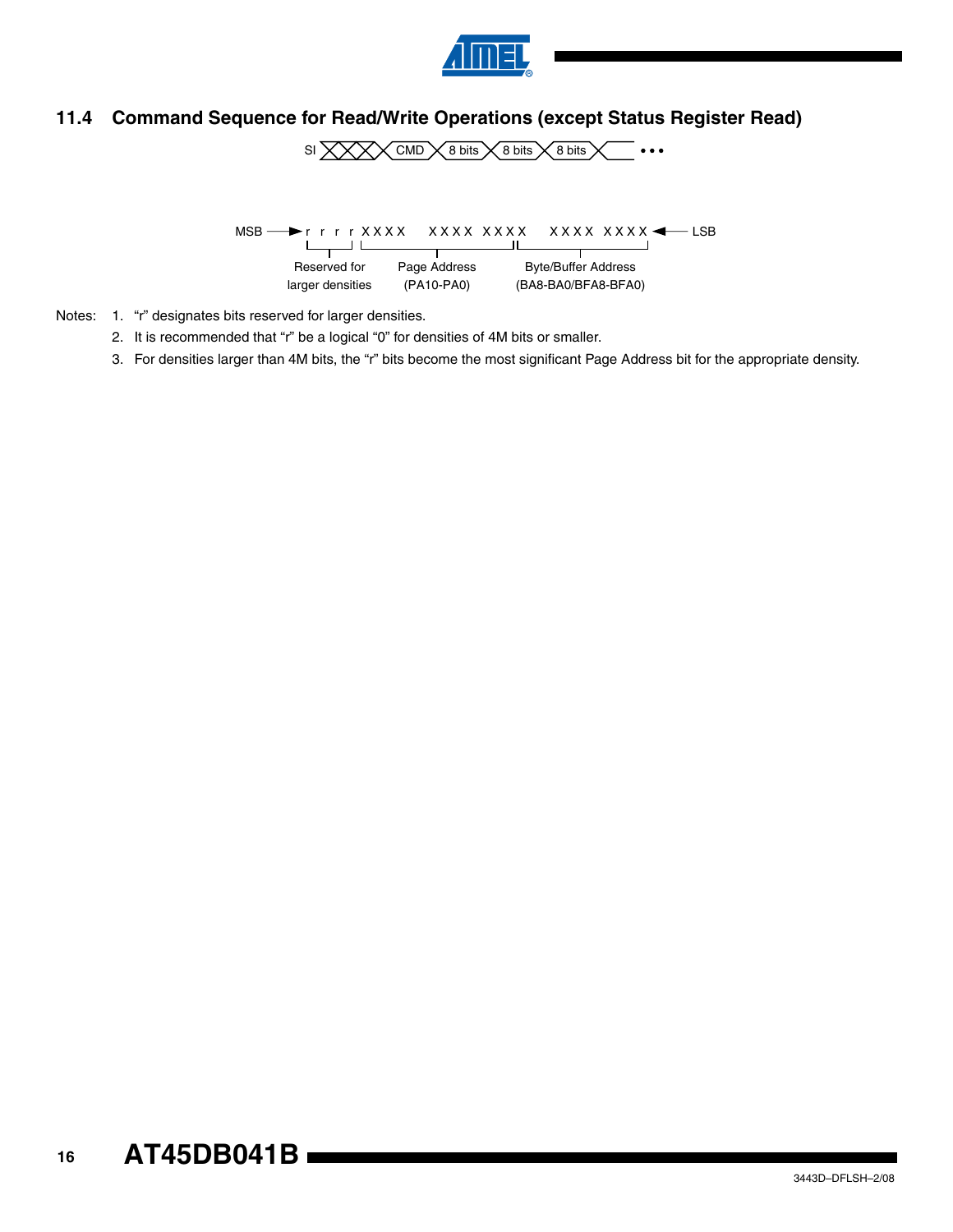

## **11.4 Command Sequence for Read/Write Operations (except Status Register Read)**

SI  $\overline{\text{XXX}}$  CMD  $\overline{\text{X8 bits}}$  8 bits  $\overline{\text{X8 bits}}$  $\bullet \bullet \bullet$ 

MSBr r r r X X X X X X X X X X X X X X X X X X X X LSBL  $\overline{\phantom{a}}$  $\top$  $\top$ Reserved for Page Address Byte/Buffer Address larger densities (PA10-PA0) (BA8-BA0/BFA8-BFA0)

Notes: 1. "r" designates bits reserved for larger densities.

- 2. It is recommended that "r" be a logical "0" for densities of 4M bits or smaller.
- 3. For densities larger than 4M bits, the "r" bits become the most significant Page Address bit for the appropriate density.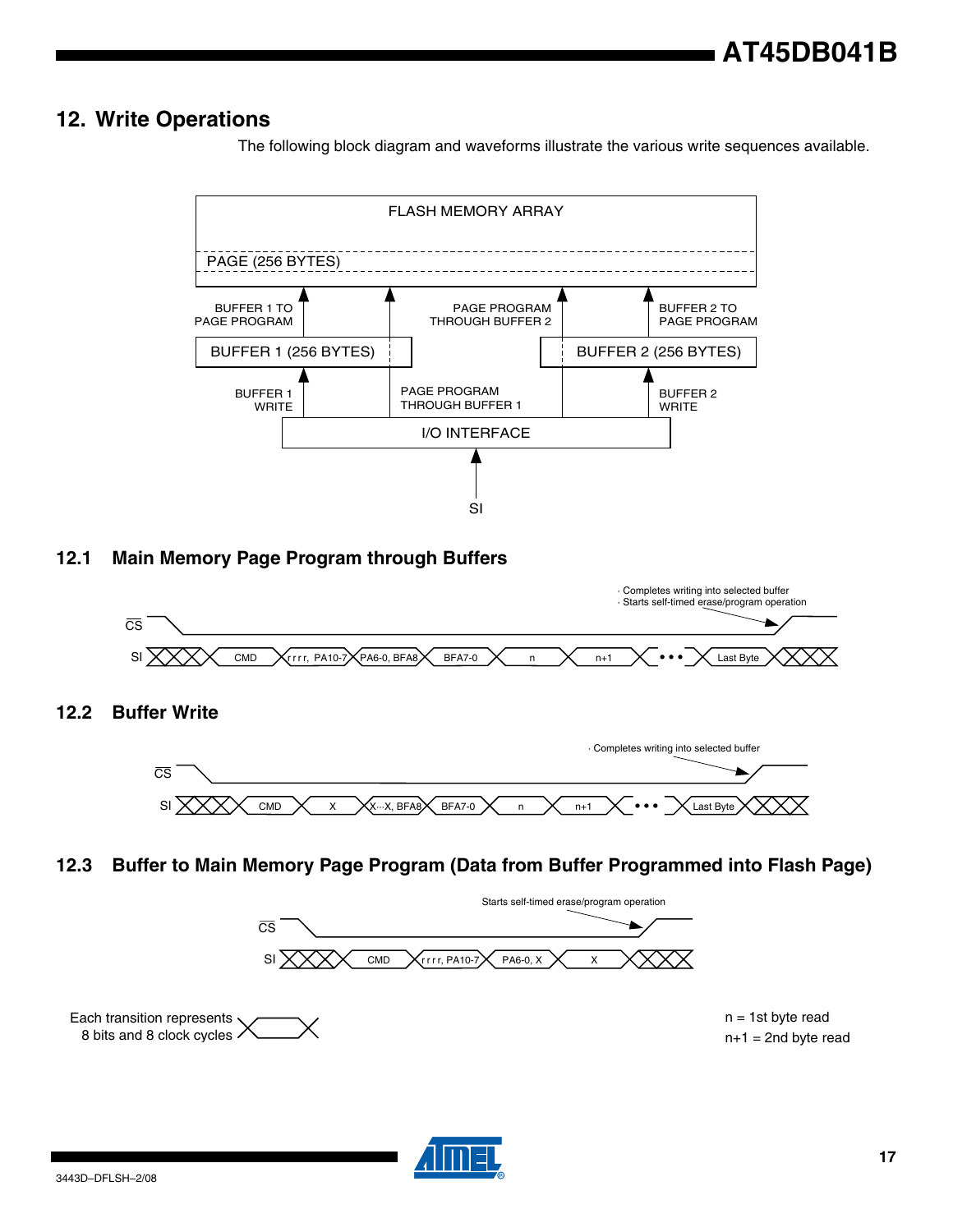## **12. Write Operations**

The following block diagram and waveforms illustrate the various write sequences available.



## **12.1 Main Memory Page Program through Buffers**



## **12.2 Buffer Write**



## **12.3 Buffer to Main Memory Page Program (Data from Buffer Programmed into Flash Page)**





 $n = 1$ st byte read  $n+1 = 2nd$  byte read

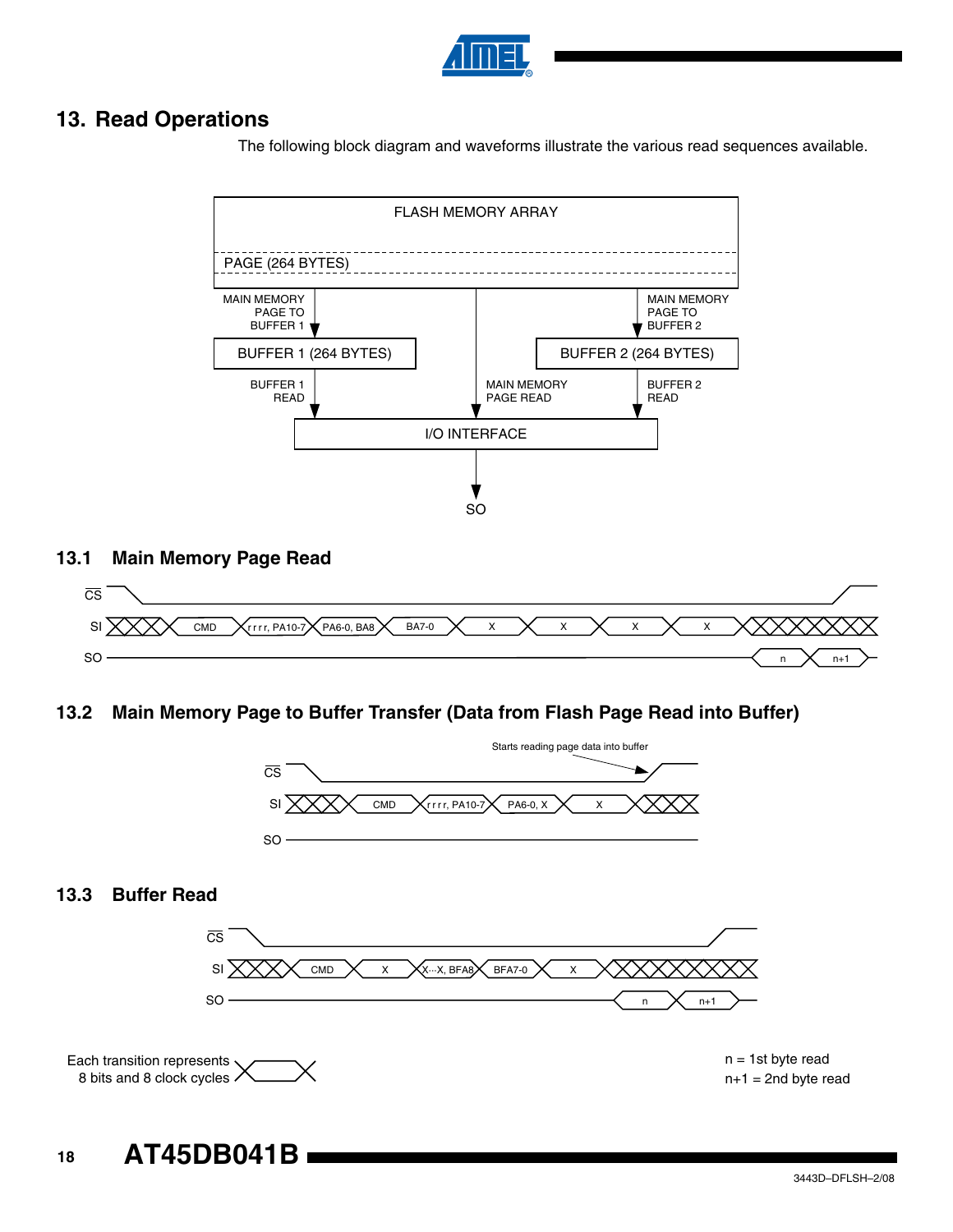

## **13. Read Operations**

The following block diagram and waveforms illustrate the various read sequences available.



**13.1 Main Memory Page Read**



## **13.2 Main Memory Page to Buffer Transfer (Data from Flash Page Read into Buffer)**



## **13.3 Buffer Read**





 $n = 1$ st byte read  $n+1 = 2nd$  byte read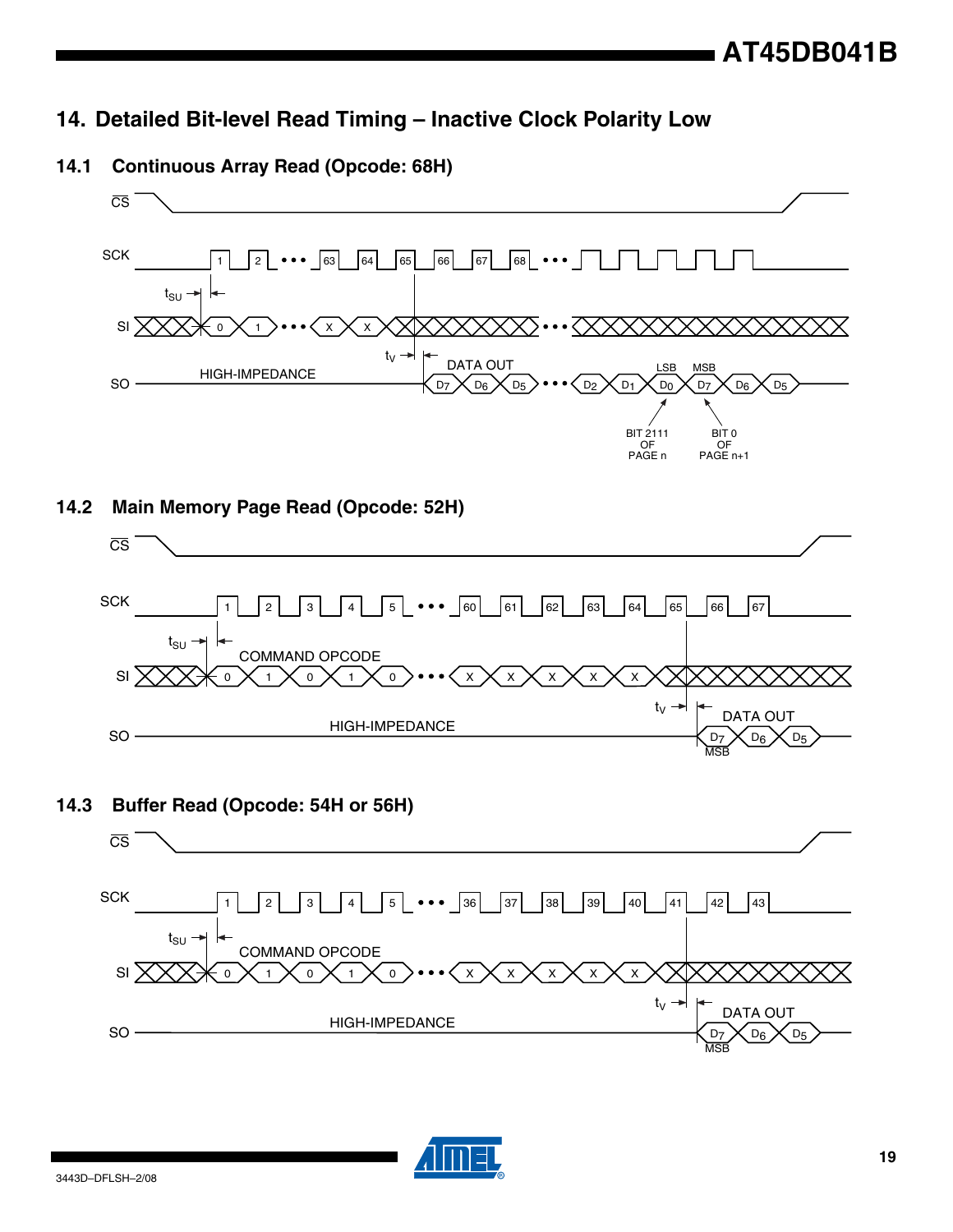**AT45DB041B**

## **14. Detailed Bit-level Read Timing – Inactive Clock Polarity Low**



## **14.1 Continuous Array Read (Opcode: 68H)**





**14.3 Buffer Read (Opcode: 54H or 56H)**



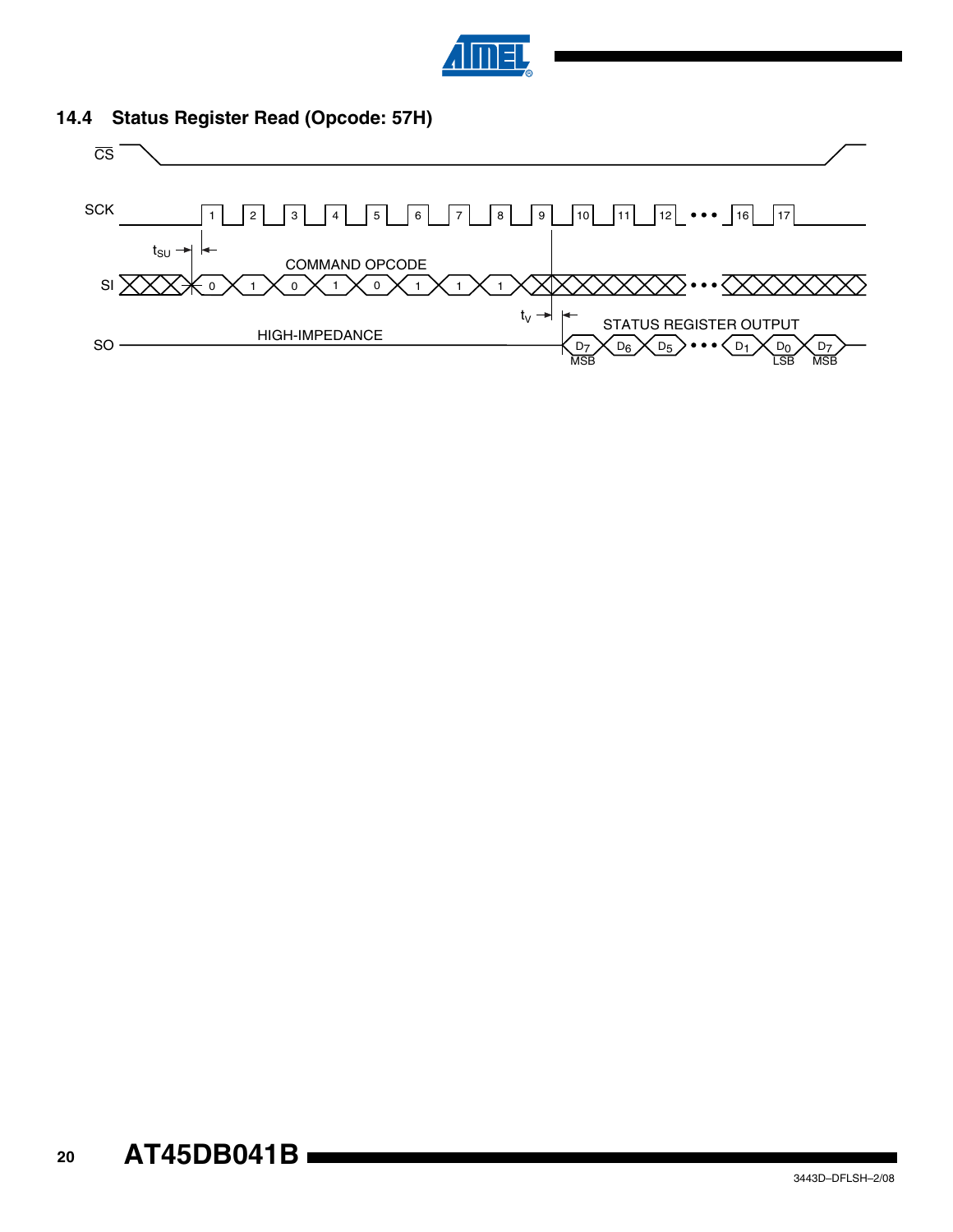



## **14.4 Status Register Read (Opcode: 57H)**

#### **20 AT45DB041B**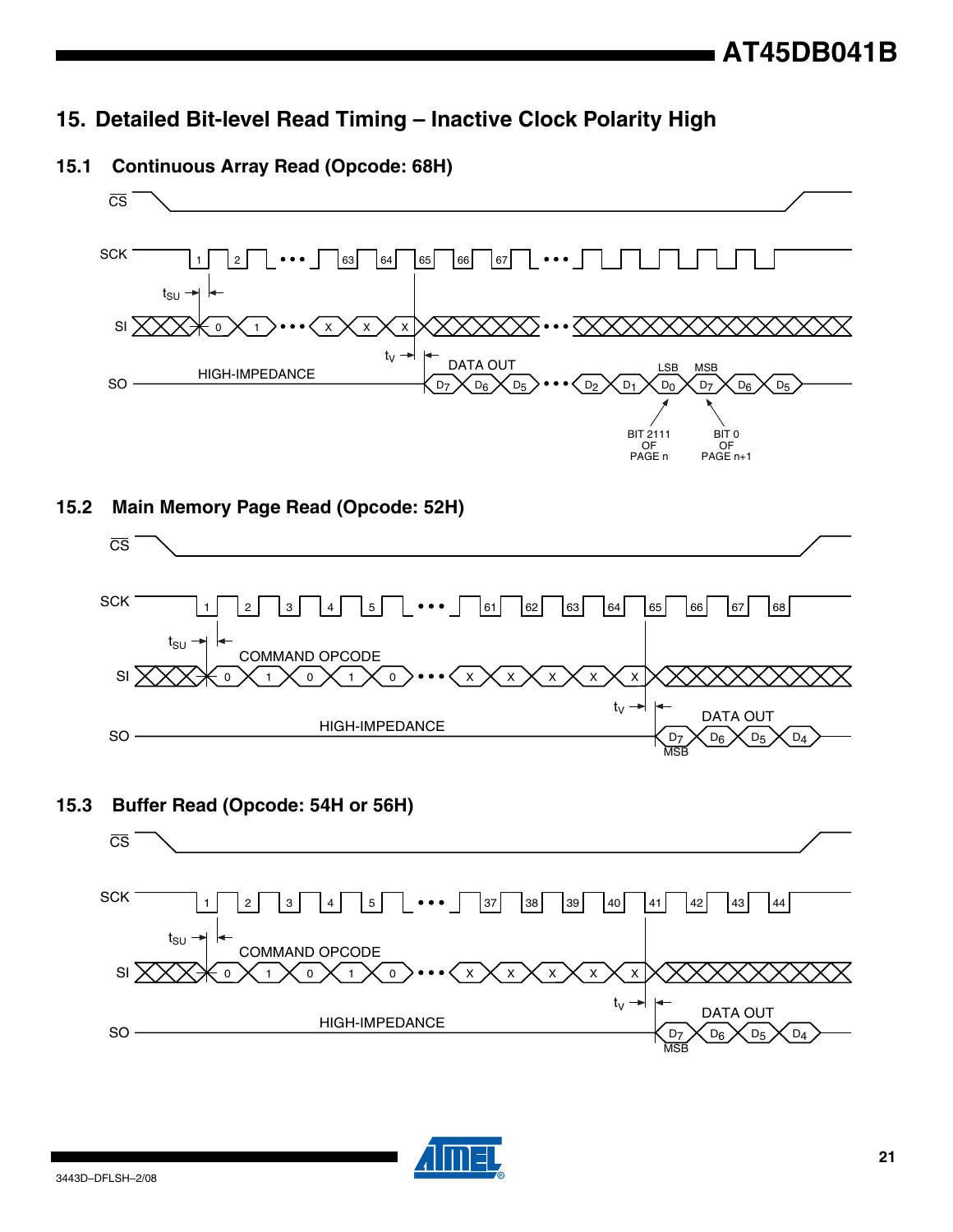**AT45DB041B**

## **15. Detailed Bit-level Read Timing – Inactive Clock Polarity High**



## **15.1 Continuous Array Read (Opcode: 68H)**





```
15.3 Buffer Read (Opcode: 54H or 56H)
```


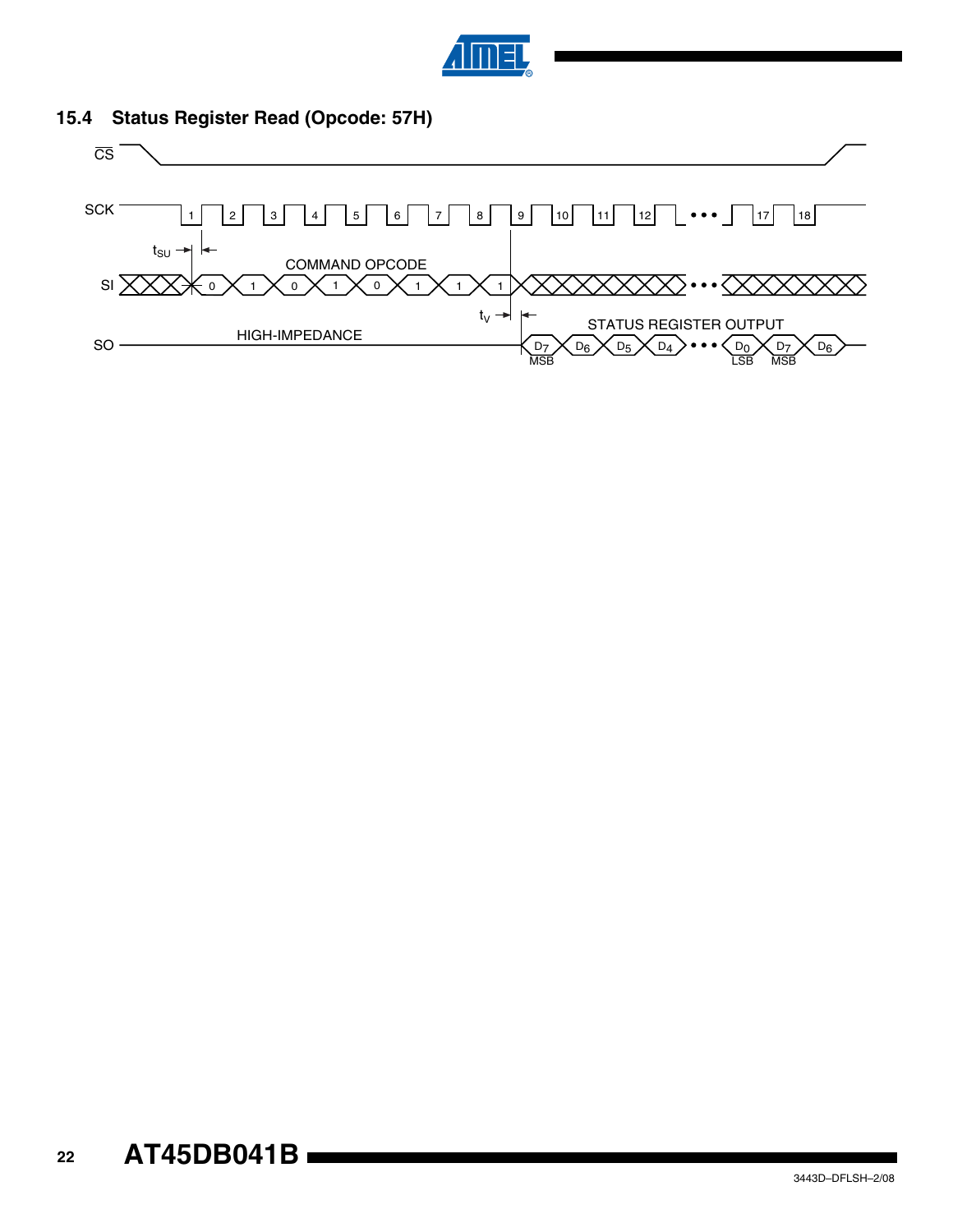

**15.4 Status Register Read (Opcode: 57H)**

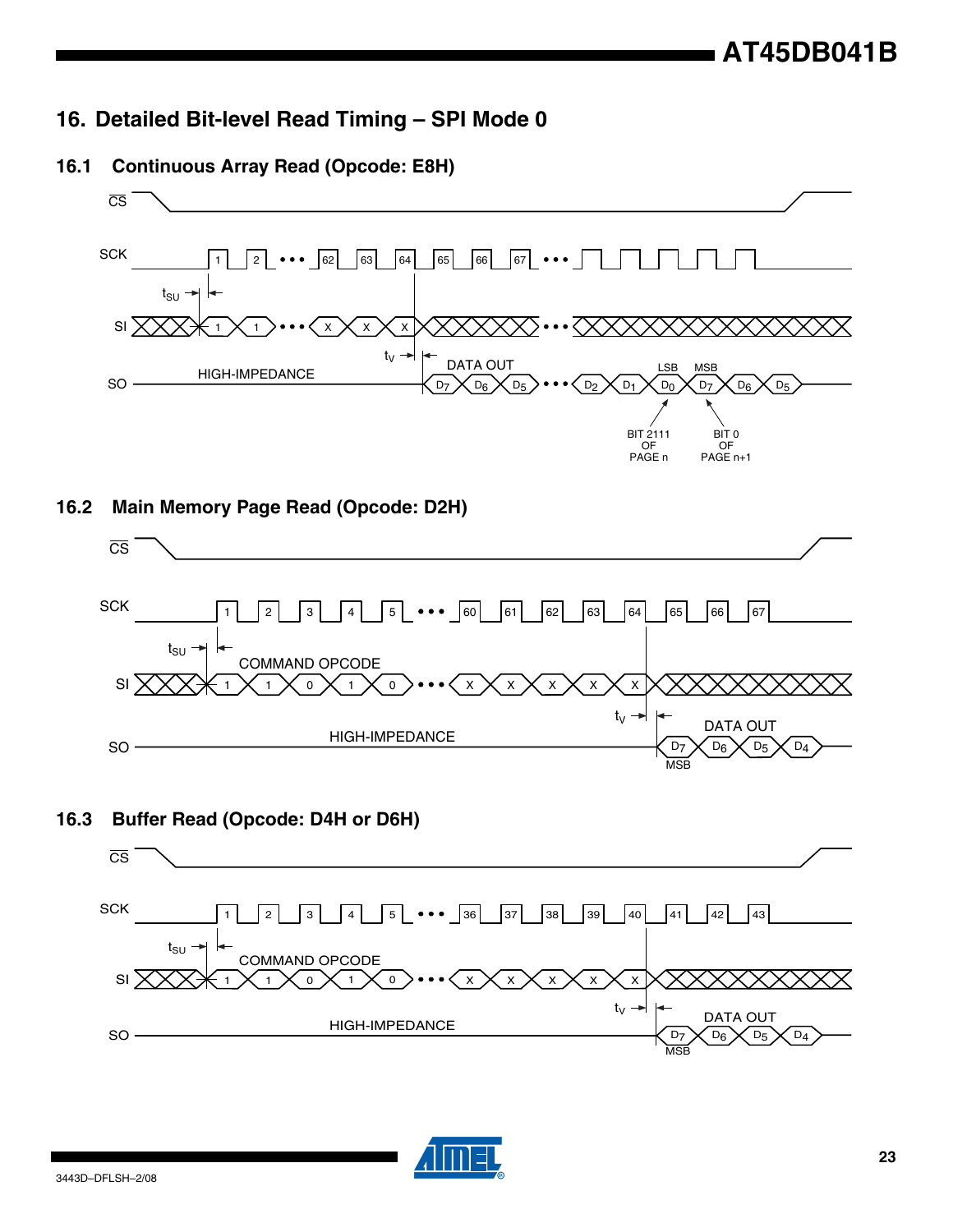## **16. Detailed Bit-level Read Timing – SPI Mode 0**



### **16.1 Continuous Array Read (Opcode: E8H)**





**16.3 Buffer Read (Opcode: D4H or D6H)**



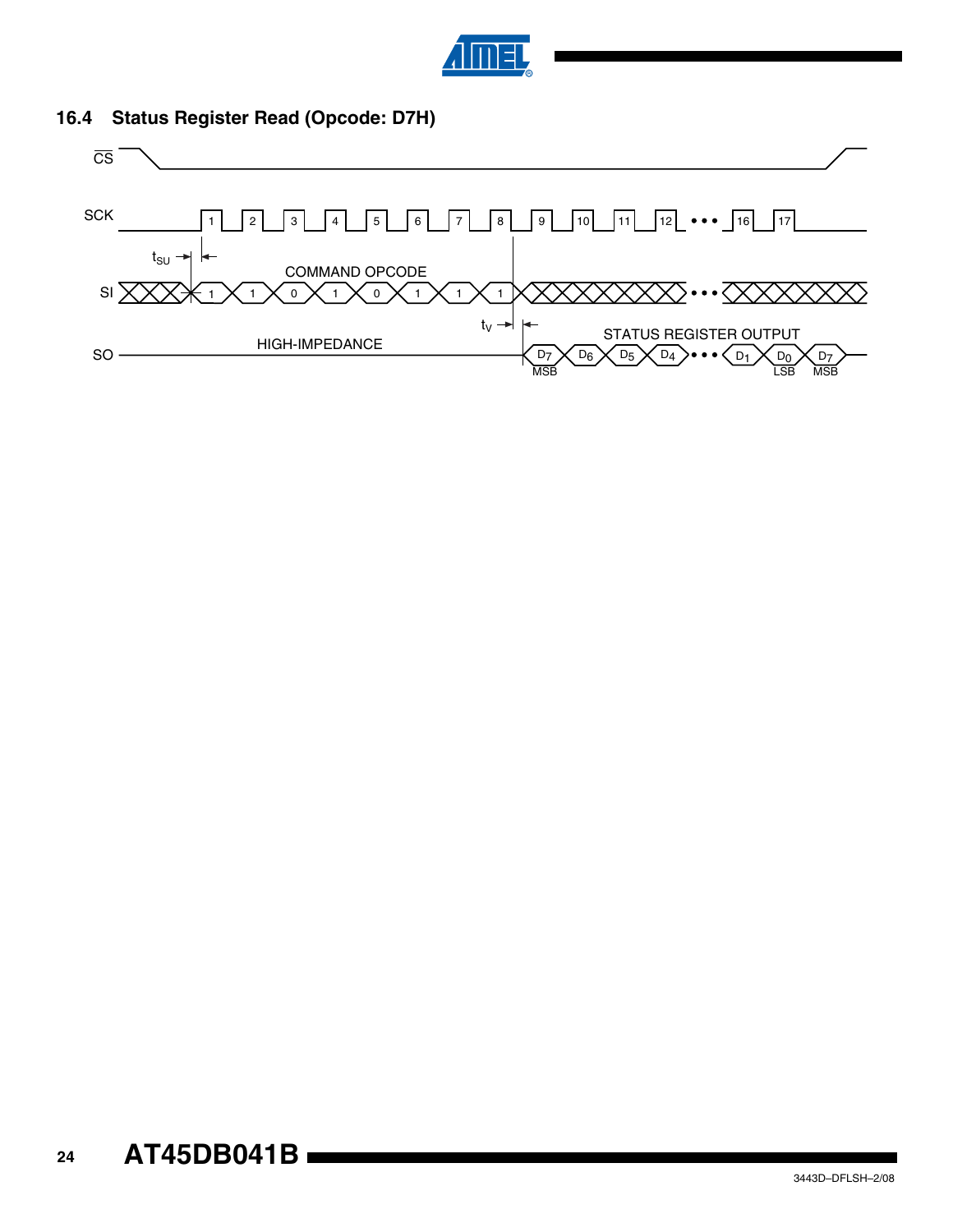

**16.4 Status Register Read (Opcode: D7H)**

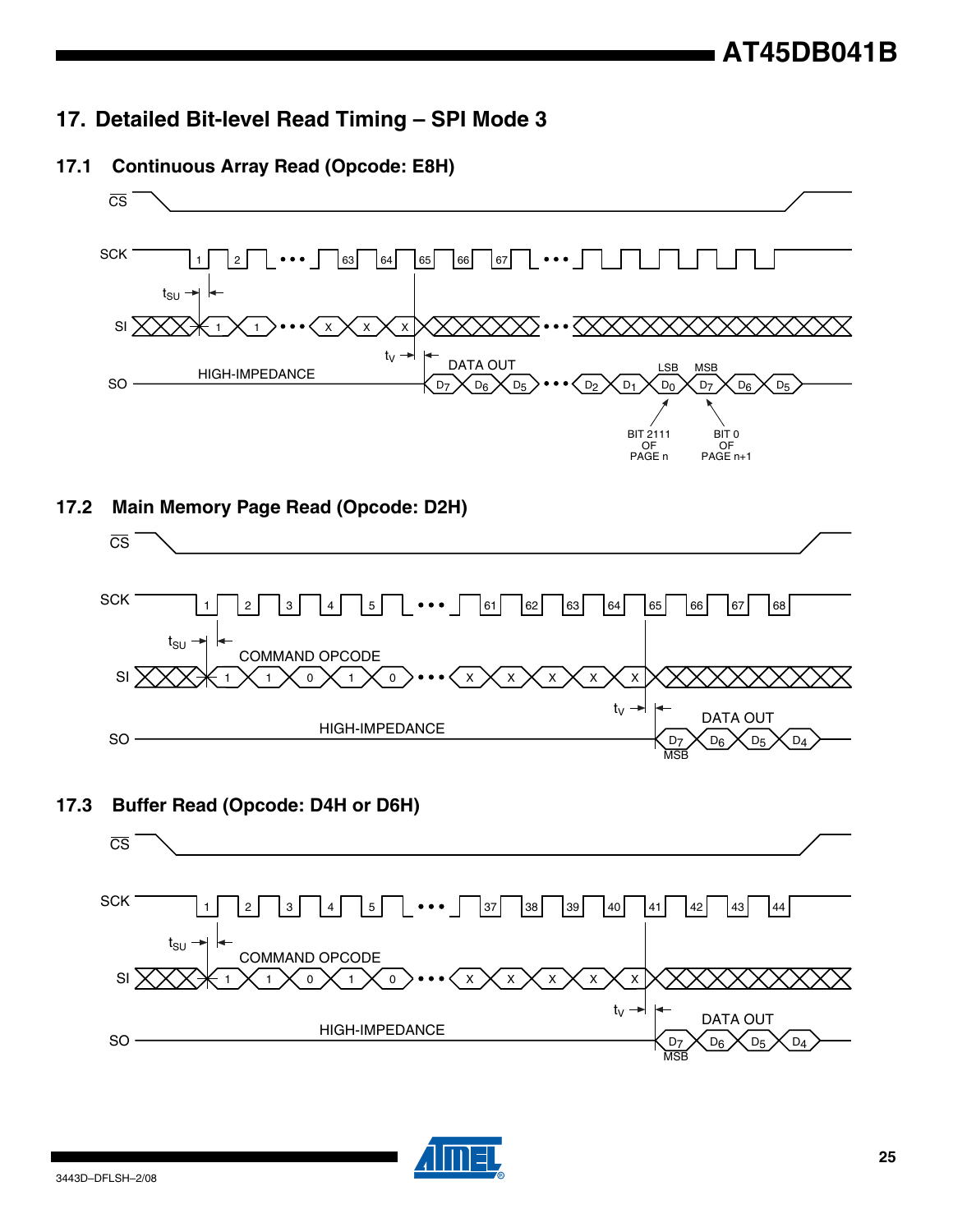$D_7 \times D_6 \times D_5$ 

 $D_4$ 

MSB

## **17. Detailed Bit-level Read Timing – SPI Mode 3**



## **17.1 Continuous Array Read (Opcode: E8H)**







 $SO -$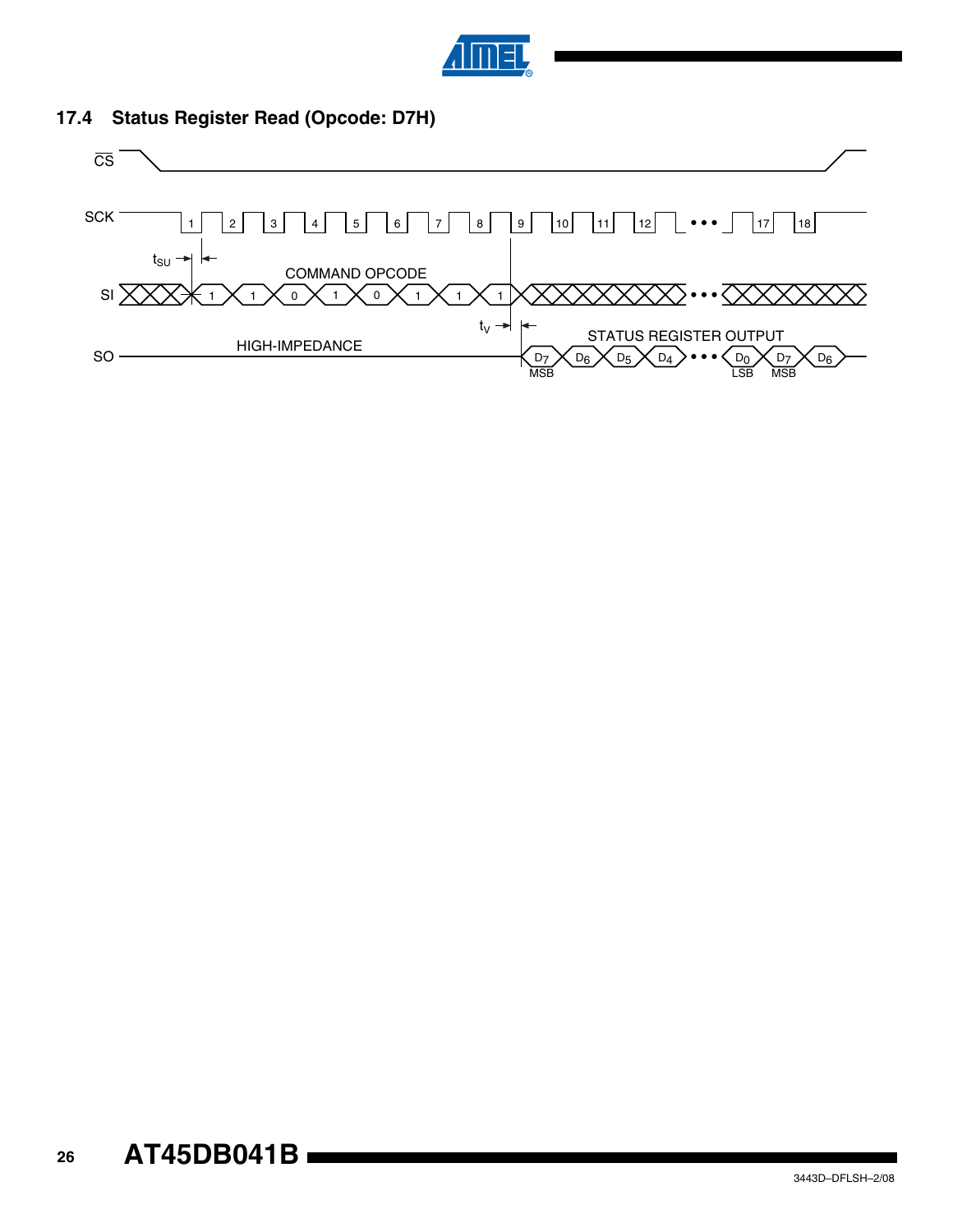

## **17.4 Status Register Read (Opcode: D7H)**

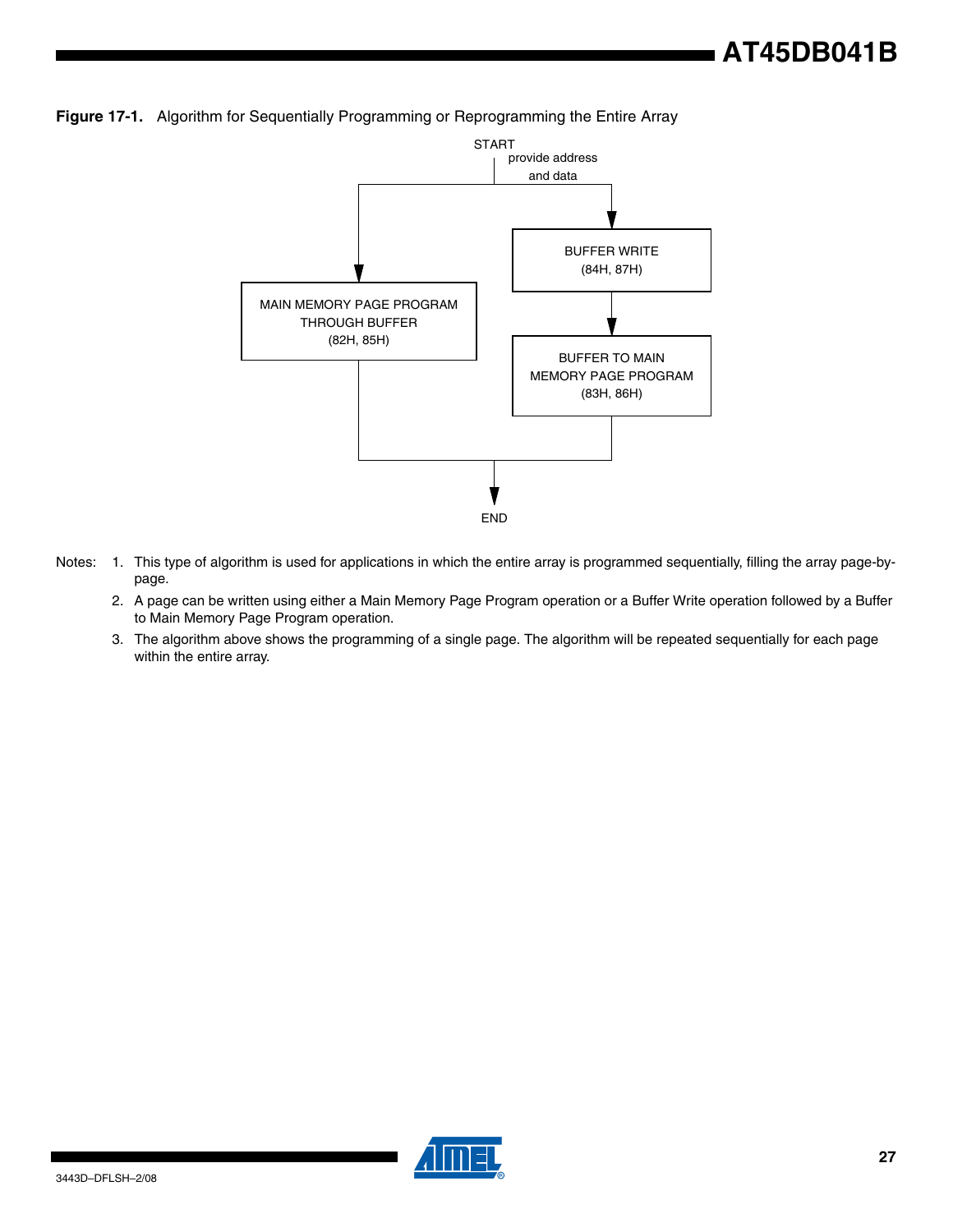<span id="page-26-0"></span>



- Notes: 1. This type of algorithm is used for applications in which the entire array is programmed sequentially, filling the array page-bypage.
	- 2. A page can be written using either a Main Memory Page Program operation or a Buffer Write operation followed by a Buffer to Main Memory Page Program operation.
	- 3. The algorithm above shows the programming of a single page. The algorithm will be repeated sequentially for each page within the entire array.

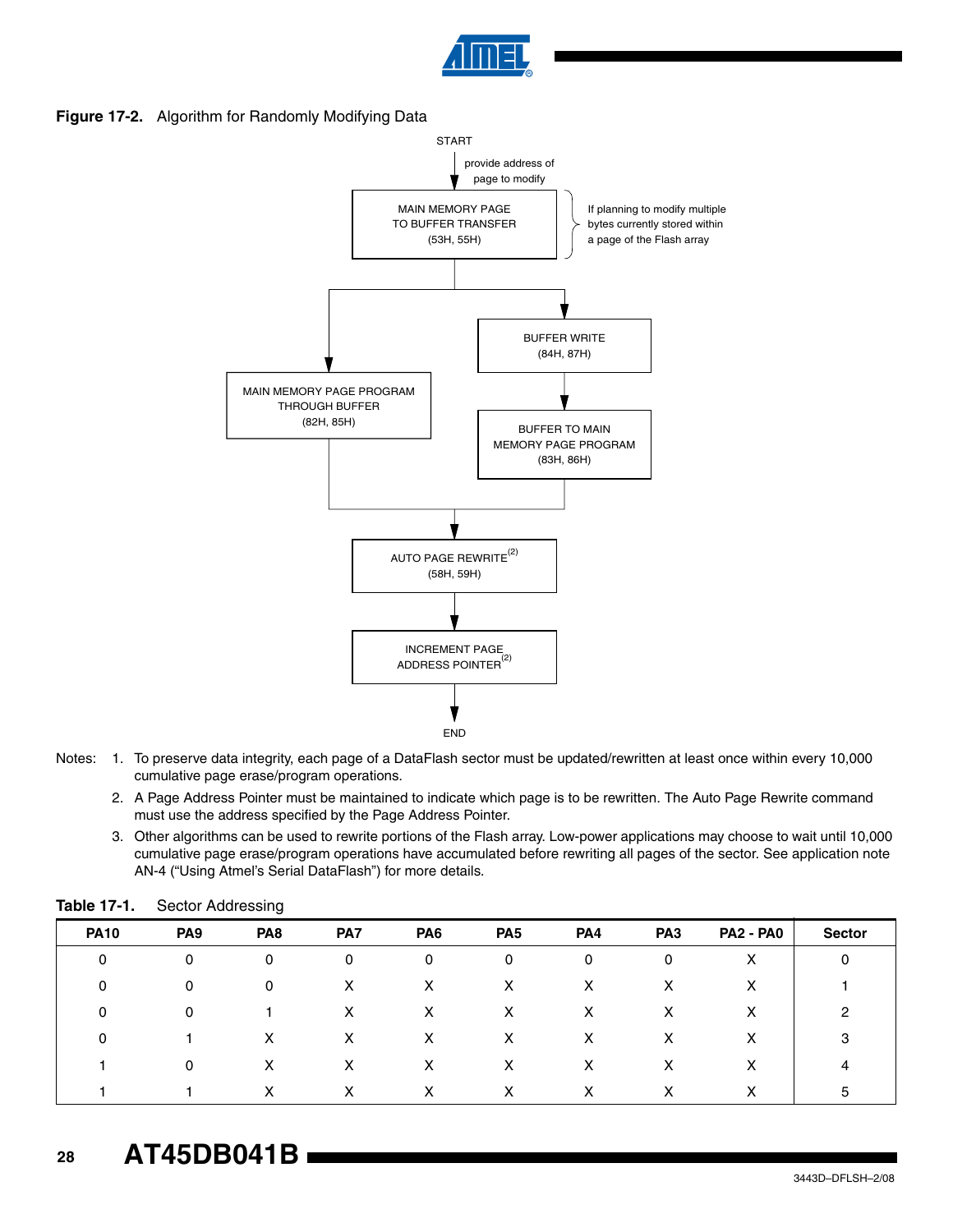<span id="page-27-0"></span>

**Figure 17-2.** Algorithm for Randomly Modifying Data



- Notes: 1. To preserve data integrity, each page of a DataFlash sector must be updated/rewritten at least once within every 10,000 cumulative page erase/program operations.
	- 2. A Page Address Pointer must be maintained to indicate which page is to be rewritten. The Auto Page Rewrite command must use the address specified by the Page Address Pointer.
	- 3. Other algorithms can be used to rewrite portions of the Flash array. Low-power applications may choose to wait until 10,000 cumulative page erase/program operations have accumulated before rewriting all pages of the sector. See application note AN-4 ("Using Atmel's Serial DataFlash") for more details.

| <b>PA10</b> | PA <sub>9</sub> | ັ<br>PA <sub>8</sub> | PA7 | PA <sub>6</sub> | PA <sub>5</sub> | PA <sub>4</sub> | PA <sub>3</sub> | PA2 - PA0 | <b>Sector</b> |
|-------------|-----------------|----------------------|-----|-----------------|-----------------|-----------------|-----------------|-----------|---------------|
| 0           | 0               | 0                    | 0   | 0               | 0               | 0               | 0               | v<br>⋏    | 0             |
| 0           | 0               | 0                    | X   | X               | X               | X               | X               | X         |               |
| 0           | 0               |                      | X   | х               | Х               | X               | х               | X         | 2             |
| 0           |                 | X                    | х   | х               | х               | х               | х               | х         | 3             |
|             | 0               | X                    | X   | Χ               | Х               | X               | х               | X         | 4             |
|             |                 | х                    | х   | х               | х               | х               | х               | х         | 5             |

**Table 17-1.** Sector Addressing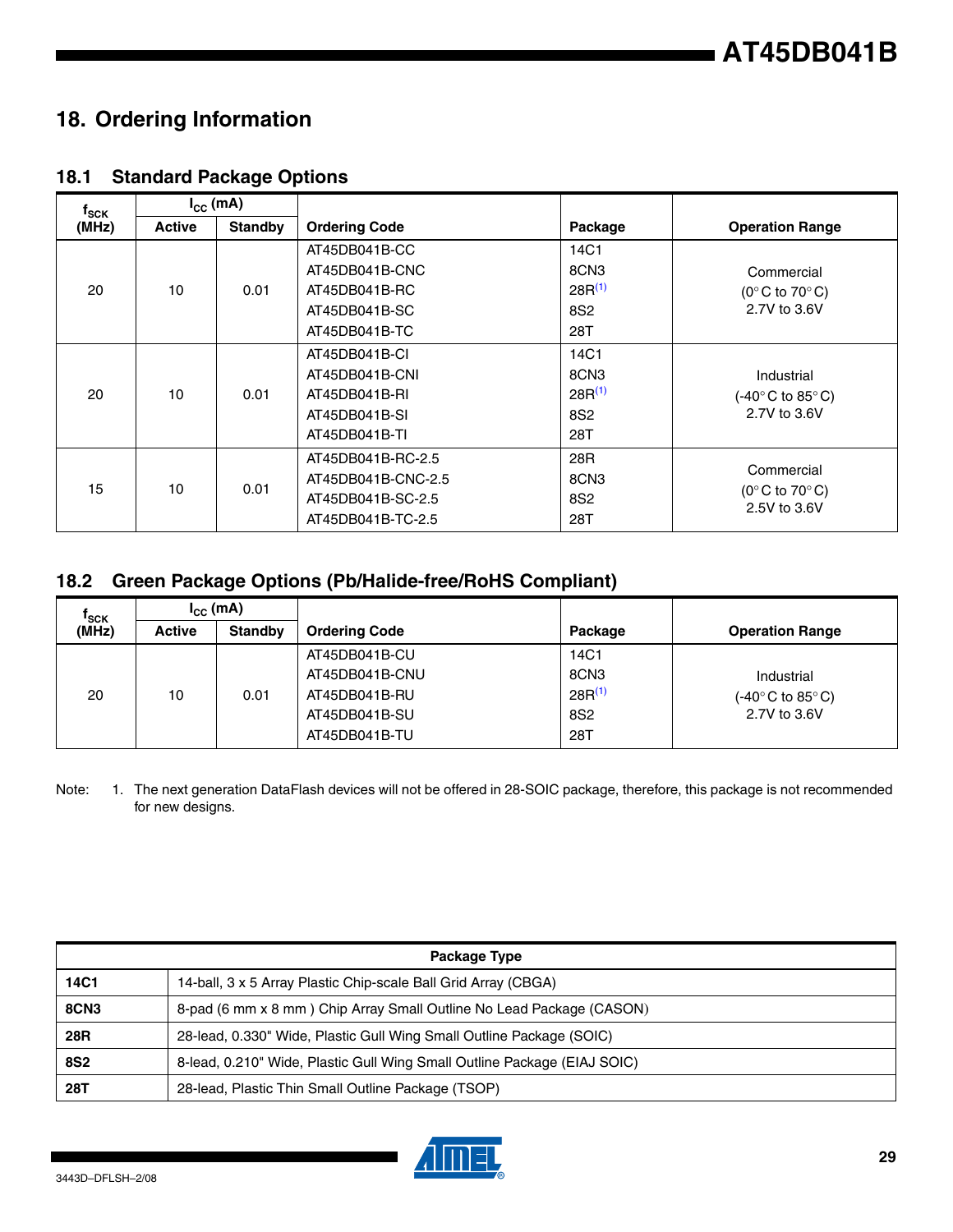## **18. Ordering Information**

| $\mathsf{r}_{\mathsf{SCK}}$ | $I_{\text{cc}}$ (mA) |         |                      |                  |                                                    |
|-----------------------------|----------------------|---------|----------------------|------------------|----------------------------------------------------|
| (MHz)                       | <b>Active</b>        | Standby | <b>Ordering Code</b> | Package          | <b>Operation Range</b>                             |
| 20                          | 10                   | 0.01    | AT45DB041B-CC        | 14C1             |                                                    |
|                             |                      |         | AT45DB041B-CNC       | 8CN <sub>3</sub> | Commercial                                         |
|                             |                      |         | AT45DB041B-RC        | $28R^{(1)}$      | $(0^{\circ}$ C to 70 $^{\circ}$ C)                 |
|                             |                      |         | AT45DB041B-SC        | 8S <sub>2</sub>  | 2.7V to 3.6V                                       |
|                             |                      |         | AT45DB041B-TC        | 28T              |                                                    |
| 20                          | 10                   | 0.01    | AT45DB041B-CI        | 14C1             |                                                    |
|                             |                      |         | AT45DB041B-CNI       | 8CN <sub>3</sub> | Industrial                                         |
|                             |                      |         | AT45DB041B-RI        | $28R^{(1)}$      | (-40 $\degree$ C to 85 $\degree$ C)                |
|                             |                      |         | AT45DB041B-SI        | 8S <sub>2</sub>  | 2.7V to 3.6V                                       |
|                             |                      |         | AT45DB041B-TI        | 28T              |                                                    |
| 15                          | 10                   | 0.01    | AT45DB041B-RC-2.5    | 28R              |                                                    |
|                             |                      |         | AT45DB041B-CNC-2.5   | 8CN <sub>3</sub> | Commercial                                         |
|                             |                      |         | AT45DB041B-SC-2.5    | 8S <sub>2</sub>  | $(0^{\circ}$ C to 70 $^{\circ}$ C)<br>2.5V to 3.6V |
|                             |                      |         | AT45DB041B-TC-2.5    | 28T              |                                                    |

## **18.1 Standard Package Options**

## **18.2 Green Package Options (Pb/Halide-free/RoHS Compliant)**

| 'sck  | $I_{CC}$ (mA) |                |                      |                  |                        |
|-------|---------------|----------------|----------------------|------------------|------------------------|
| (MHz) | <b>Active</b> | <b>Standby</b> | <b>Ordering Code</b> | Package          | <b>Operation Range</b> |
|       |               |                | AT45DB041B-CU        | 14C1             |                        |
|       |               |                | AT45DB041B-CNU       | 8CN <sub>3</sub> | Industrial             |
| 20    | 10            | 0.01           | AT45DB041B-RU        | $28R^{(1)}$      | (-40° C to 85° C)      |
|       |               |                | AT45DB041B-SU        | 8S <sub>2</sub>  | 2.7V to 3.6V           |
|       |               |                | AT45DB041B-TU        | 28T              |                        |

<span id="page-28-0"></span>Note: 1. The next generation DataFlash devices will not be offered in 28-SOIC package, therefore, this package is not recommended for new designs.

| Package Type |                                                                          |  |  |  |
|--------------|--------------------------------------------------------------------------|--|--|--|
| 14C1         | 14-ball, 3 x 5 Array Plastic Chip-scale Ball Grid Array (CBGA)           |  |  |  |
| 8CN3         | 8-pad (6 mm x 8 mm) Chip Array Small Outline No Lead Package (CASON)     |  |  |  |
| 28R          | 28-lead, 0.330" Wide, Plastic Gull Wing Small Outline Package (SOIC)     |  |  |  |
| <b>8S2</b>   | 8-lead, 0.210" Wide, Plastic Gull Wing Small Outline Package (EIAJ SOIC) |  |  |  |
| 28T          | 28-lead, Plastic Thin Small Outline Package (TSOP)                       |  |  |  |

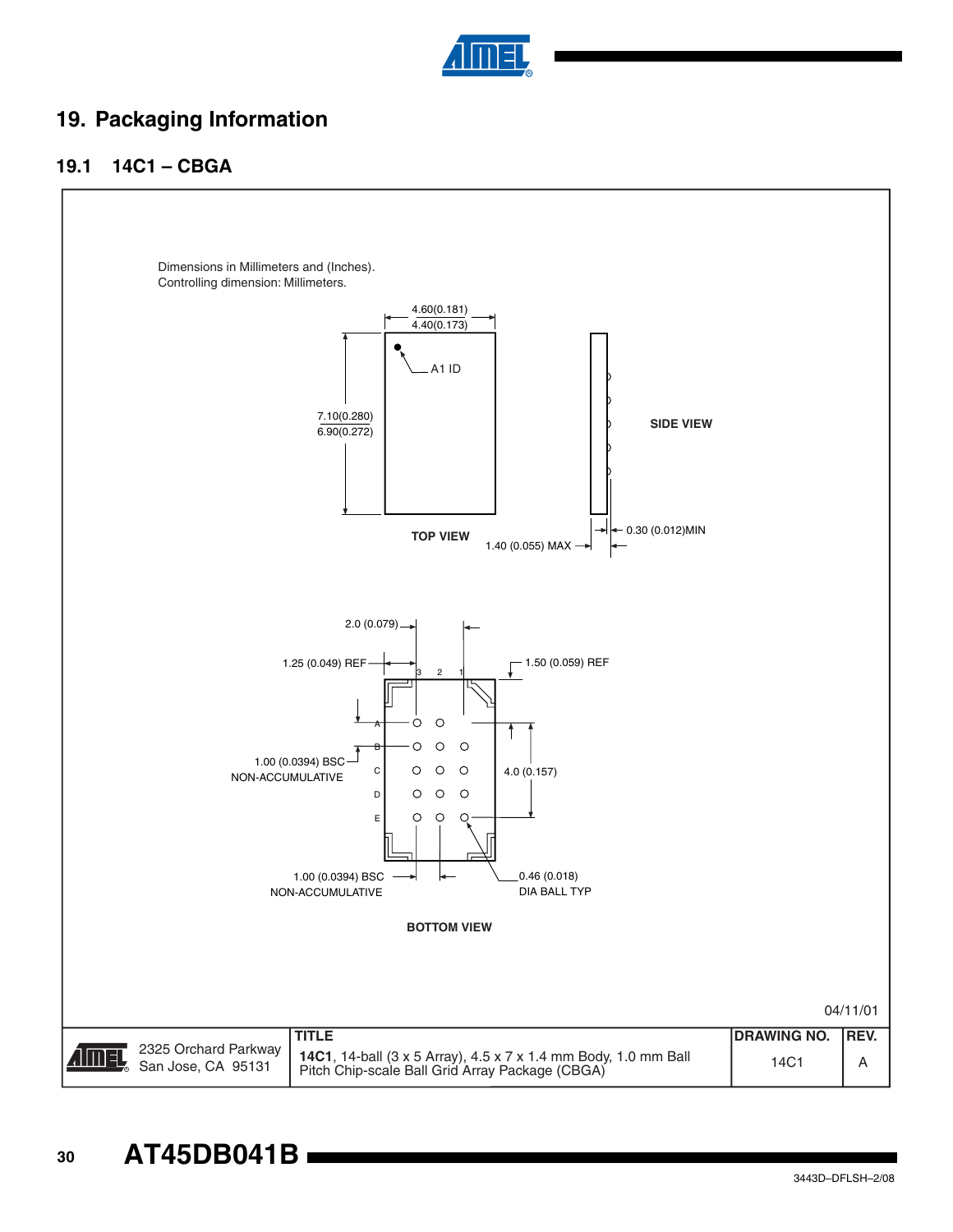

## **19. Packaging Information**

## **19.1 14C1 – CBGA**

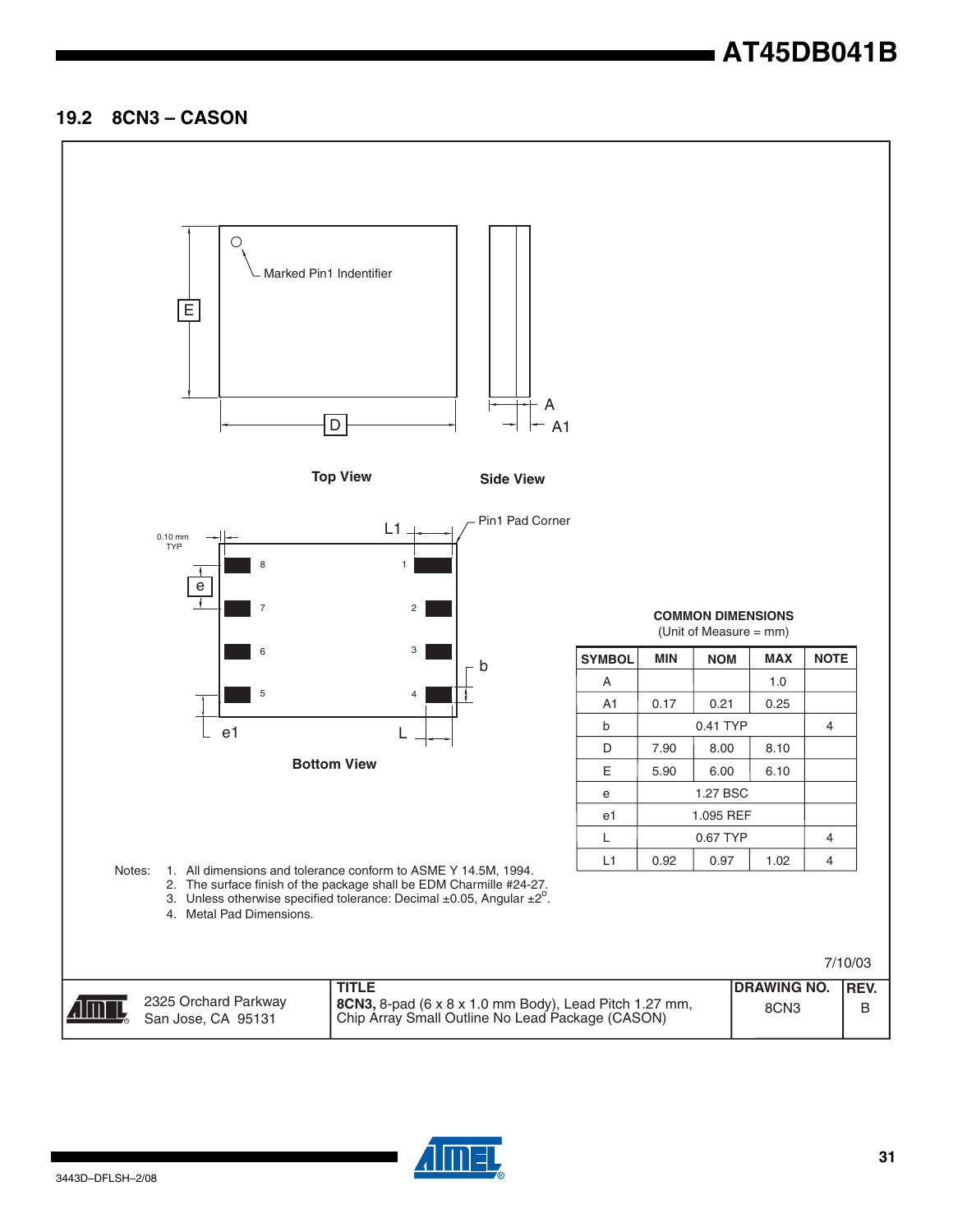## **AT45DB041B**

#### **19.2 8CN3 – CASON**



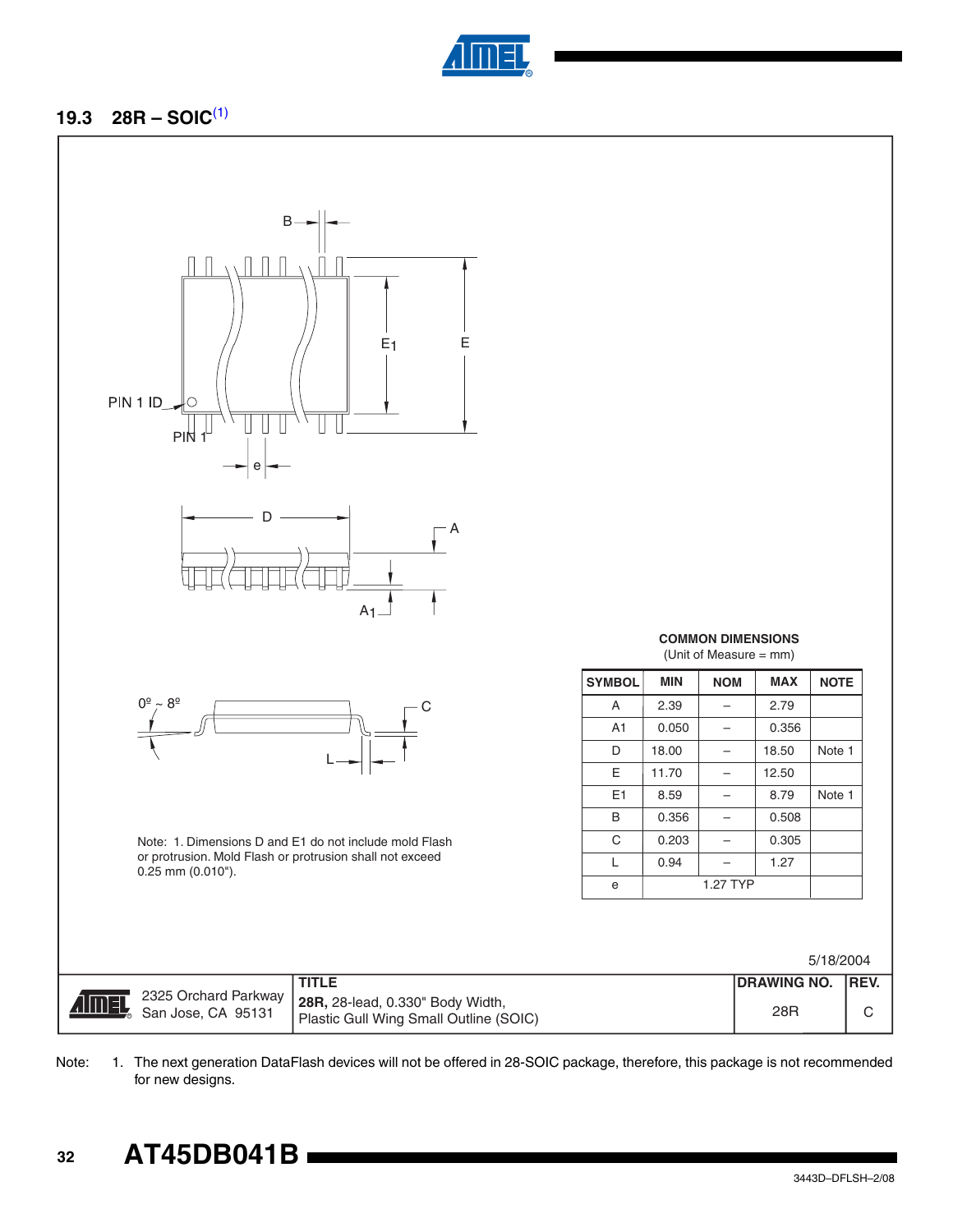

## **19.3 28R – SOIC**[\(1\)](#page-31-0)



#### <span id="page-31-0"></span>Note: 1. The next generation DataFlash devices will not be offered in 28-SOIC package, therefore, this package is not recommended for new designs.

**REV.** 

5/18/2004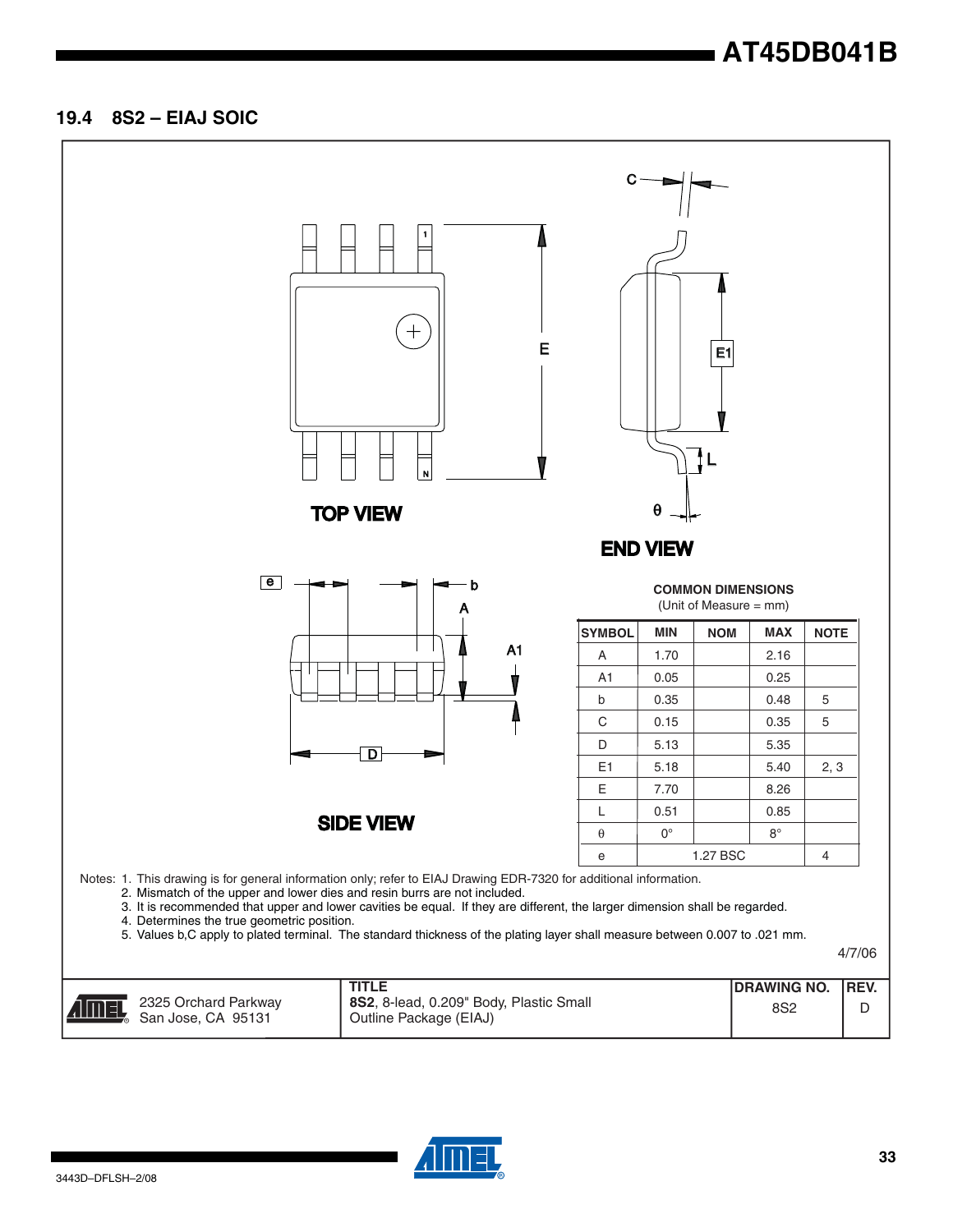## **AT45DB041B**

#### **19.4 8S2 – EIAJ SOIC**



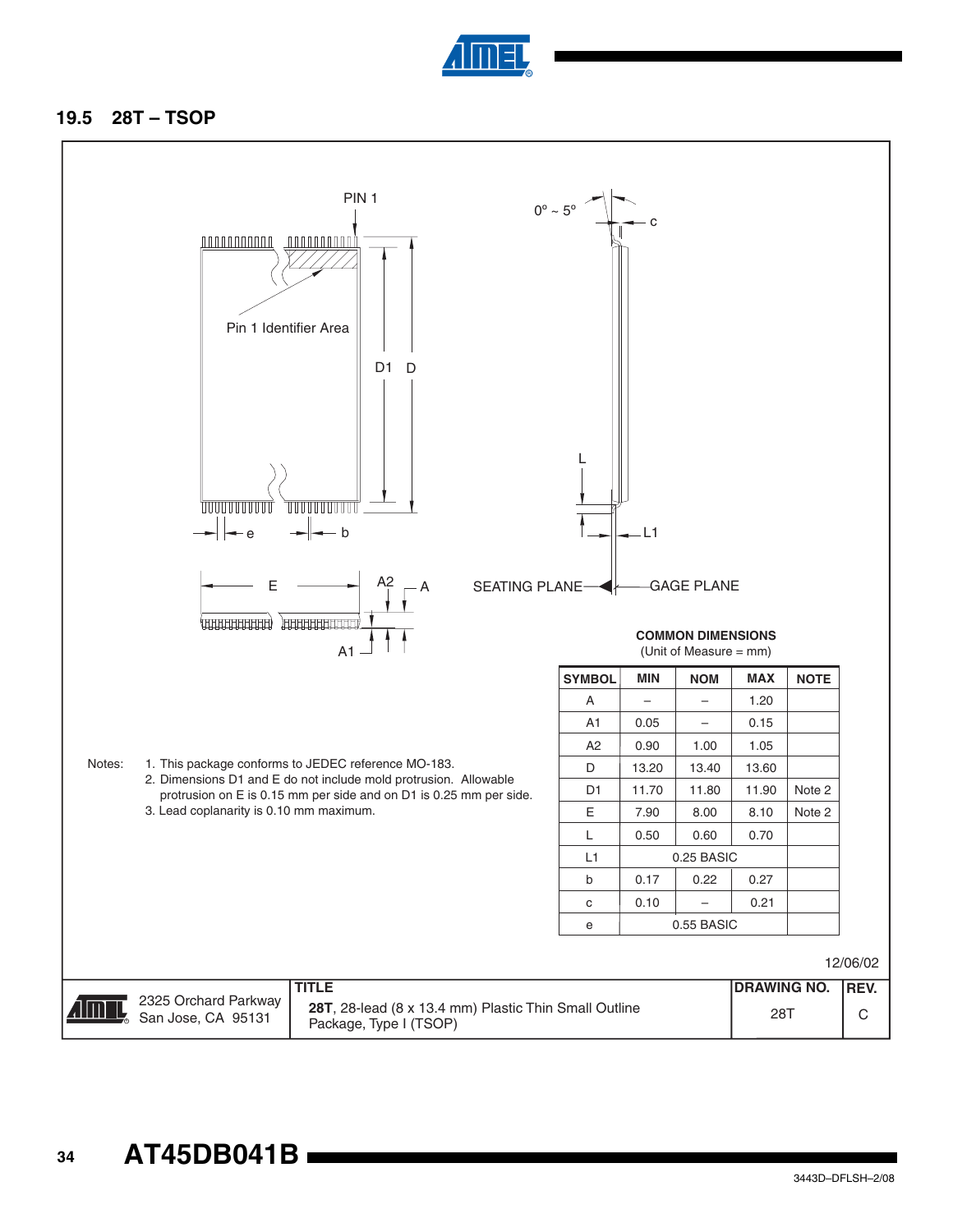

#### **19.5 28T – TSOP**

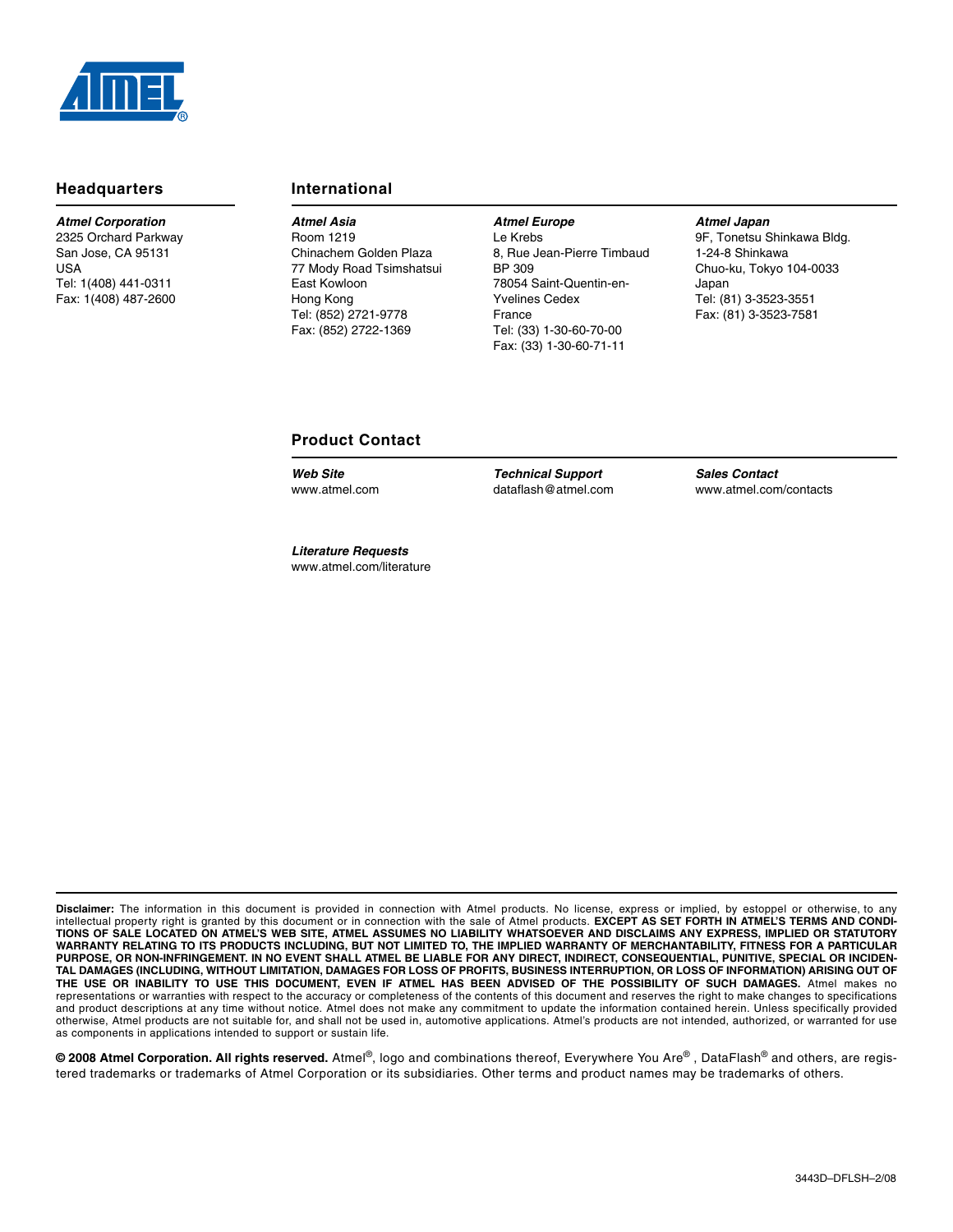

#### **Headquarters International**

*Atmel Corporation* 2325 Orchard Parkway San Jose, CA 95131 USA Tel: 1(408) 441-0311 Fax: 1(408) 487-2600

*Atmel Asia* Room 1219 Chinachem Golden Plaza 77 Mody Road Tsimshatsui East Kowloon Hong Kong Tel: (852) 2721-9778 Fax: (852) 2722-1369

*Atmel Europe* Le Krebs 8, Rue Jean-Pierre Timbaud BP 309 78054 Saint-Quentin-en-Yvelines Cedex France Tel: (33) 1-30-60-70-00 Fax: (33) 1-30-60-71-11

#### *Atmel Japan*

9F, Tonetsu Shinkawa Bldg. 1-24-8 Shinkawa Chuo-ku, Tokyo 104-0033 Japan Tel: (81) 3-3523-3551 Fax: (81) 3-3523-7581

#### **Product Contact**

*Web Site* www.atmel.com

*Technical Support* dataflash@atmel.com *Sales Contact* www.atmel.com/contacts

*Literature Requests* www.atmel.com/literature

**Disclaimer:** The information in this document is provided in connection with Atmel products. No license, express or implied, by estoppel or otherwise, to any intellectual property right is granted by this document or in connection with the sale of Atmel products. **EXCEPT AS SET FORTH IN ATMEL'S TERMS AND CONDI-TIONS OF SALE LOCATED ON ATMEL'S WEB SITE, ATMEL ASSUMES NO LIABILITY WHATSOEVER AND DISCLAIMS ANY EXPRESS, IMPLIED OR STATUTORY** WARRANTY RELATING TO ITS PRODUCTS INCLUDING, BUT NOT LIMITED TO, THE IMPLIED WARRANTY OF MERCHANTABILITY, FITNESS FOR A PARTICULAR<br>PURPOSE, OR NON-INFRINGEMENT. IN NO EVENT SHALL ATMEL BE LIABLE FOR ANY DIRECT, INDIRECT, C **TAL DAMAGES (INCLUDING, WITHOUT LIMITATION, DAMAGES FOR LOSS OF PROFITS, BUSINESS INTERRUPTION, OR LOSS OF INFORMATION) ARISING OUT OF THE USE OR INABILITY TO USE THIS DOCUMENT, EVEN IF ATMEL HAS BEEN ADVISED OF THE POSSIBILITY OF SUCH DAMAGES.** Atmel makes no representations or warranties with respect to the accuracy or completeness of the contents of this document and reserves the right to make changes to specifications and product descriptions at any time without notice. Atmel does not make any commitment to update the information contained herein. Unless specifically provided otherwise, Atmel products are not suitable for, and shall not be used in, automotive applications. Atmel's products are not intended, authorized, or warranted for use as components in applications intended to support or sustain life.

**© 2008 Atmel Corporation. All rights reserved.** Atmel®, logo and combinations thereof, Everywhere You Are® , DataFlash® and others, are registered trademarks or trademarks of Atmel Corporation or its subsidiaries. Other terms and product names may be trademarks of others.